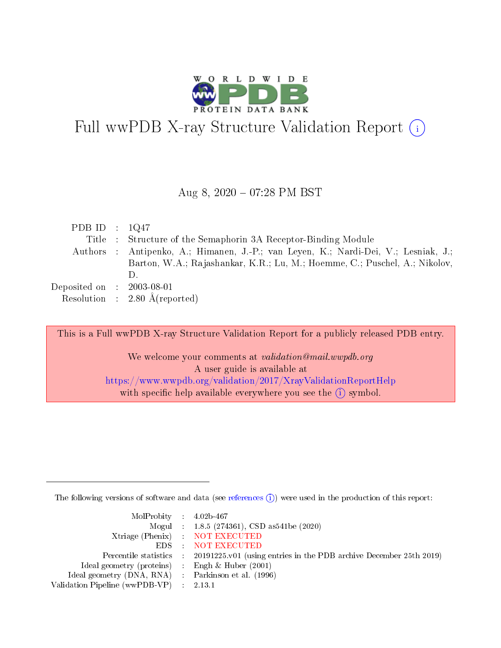

# Full wwPDB X-ray Structure Validation Report  $(i)$

#### Aug 8, 2020 07:28 PM BST

| PDB ID : $1Q47$             |                                                                                     |
|-----------------------------|-------------------------------------------------------------------------------------|
|                             | Title : Structure of the Semaphorin 3A Receptor-Binding Module                      |
|                             | Authors : Antipenko, A.; Himanen, J.-P.; van Leyen, K.; Nardi-Dei, V.; Lesniak, J.; |
|                             | Barton, W.A.; Rajashankar, K.R.; Lu, M.; Hoemme, C.; Puschel, A.; Nikolov,          |
|                             | $\Box$                                                                              |
| Deposited on : $2003-08-01$ |                                                                                     |
|                             | Resolution : $2.80 \text{ Å}$ (reported)                                            |

This is a Full wwPDB X-ray Structure Validation Report for a publicly released PDB entry. We welcome your comments at validation@mail.wwpdb.org A user guide is available at <https://www.wwpdb.org/validation/2017/XrayValidationReportHelp> with specific help available everywhere you see the  $(i)$  symbol.

The following versions of software and data (see [references](https://www.wwpdb.org/validation/2017/XrayValidationReportHelp#references)  $(i)$ ) were used in the production of this report:

| $MolProbability$ 4.02b-467                          |                                                                                            |
|-----------------------------------------------------|--------------------------------------------------------------------------------------------|
|                                                     | Mogul : $1.8.5$ (274361), CSD as 541be (2020)                                              |
|                                                     | Xtriage (Phenix) NOT EXECUTED                                                              |
|                                                     | EDS : NOT EXECUTED                                                                         |
|                                                     | Percentile statistics : 20191225.v01 (using entries in the PDB archive December 25th 2019) |
| Ideal geometry (proteins) : Engh $\&$ Huber (2001)  |                                                                                            |
| Ideal geometry (DNA, RNA) : Parkinson et al. (1996) |                                                                                            |
| Validation Pipeline (wwPDB-VP) : 2.13.1             |                                                                                            |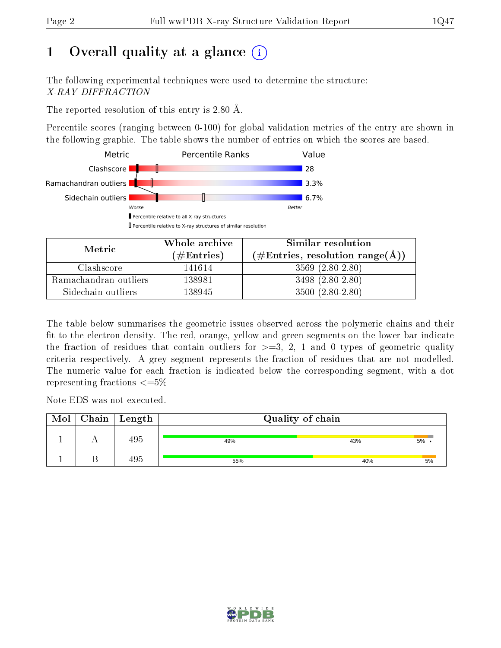# 1 [O](https://www.wwpdb.org/validation/2017/XrayValidationReportHelp#overall_quality)verall quality at a glance  $(i)$

The following experimental techniques were used to determine the structure: X-RAY DIFFRACTION

The reported resolution of this entry is 2.80 Å.

Percentile scores (ranging between 0-100) for global validation metrics of the entry are shown in the following graphic. The table shows the number of entries on which the scores are based.



| Metric.               | Whole archive       | Similar resolution                                         |
|-----------------------|---------------------|------------------------------------------------------------|
|                       | (# $\rm{Entries}$ ) | $(\#\text{Entries}, \text{resolution range}(\text{\AA}) )$ |
| Clashscore            | 141614              | $3569(2.80-2.80)$                                          |
| Ramachandran outliers | 138981              | $3498(2.80-2.80)$                                          |
| Sidechain outliers    | 138945              | $3500(2.80-2.80)$                                          |

The table below summarises the geometric issues observed across the polymeric chains and their fit to the electron density. The red, orange, yellow and green segments on the lower bar indicate the fraction of residues that contain outliers for  $\geq=3$ , 2, 1 and 0 types of geometric quality criteria respectively. A grey segment represents the fraction of residues that are not modelled. The numeric value for each fraction is indicated below the corresponding segment, with a dot representing fractions  $\leq=5\%$ 

Note EDS was not executed.

| Mol | $C$ hain $\vert$ Length | Quality of chain |     |    |
|-----|-------------------------|------------------|-----|----|
|     | $19\,$                  | 49%              | 43% | 5% |
|     | 495                     | 55%              | 40% | 5% |

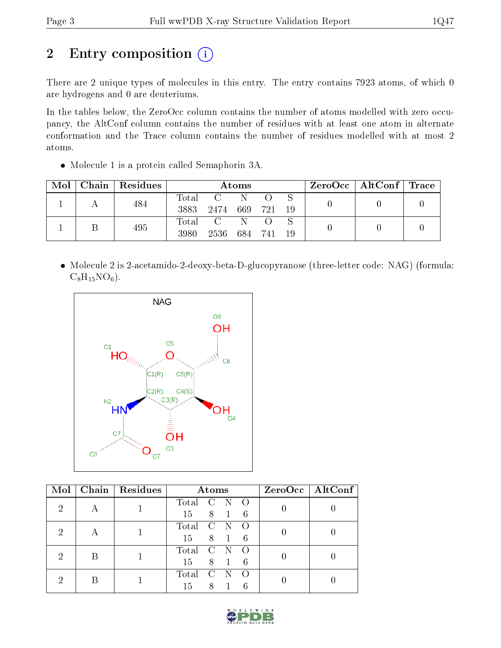# 2 Entry composition (i)

There are 2 unique types of molecules in this entry. The entry contains 7923 atoms, of which 0 are hydrogens and 0 are deuteriums.

In the tables below, the ZeroOcc column contains the number of atoms modelled with zero occupancy, the AltConf column contains the number of residues with at least one atom in alternate conformation and the Trace column contains the number of residues modelled with at most 2 atoms.

Molecule 1 is a protein called Semaphorin 3A.

| Mol | Chain   Residues | Atoms         |                                |  | $\text{ZeroOcc} \mid \text{AltConf} \mid \text{Trace} \mid$ |  |  |
|-----|------------------|---------------|--------------------------------|--|-------------------------------------------------------------|--|--|
|     | 484              | Total<br>3883 | $C =$<br>2474 669 721          |  | - 19                                                        |  |  |
|     | 495              | Total<br>3980 | $\overline{C}$<br>2536 684 741 |  | 19                                                          |  |  |

 Molecule 2 is 2-acetamido-2-deoxy-beta-D-glucopyranose (three-letter code: NAG) (formula:  $C_8H_{15}NO_6$ .



| Mol | Chain   Residues | Atoms                  | $ZeroOcc$   AltConf |
|-----|------------------|------------------------|---------------------|
| 2   |                  | Total<br>$\mathbf C$   |                     |
|     |                  | 8 1<br>15<br>6         |                     |
| 2   |                  | Total<br>C             |                     |
|     |                  | 8<br>15<br>6           |                     |
| 2   |                  | Total<br>$\mathcal{C}$ |                     |
|     |                  | 8<br>15<br>6           |                     |
| റ   |                  | Total                  |                     |
|     |                  | 8<br>15                |                     |

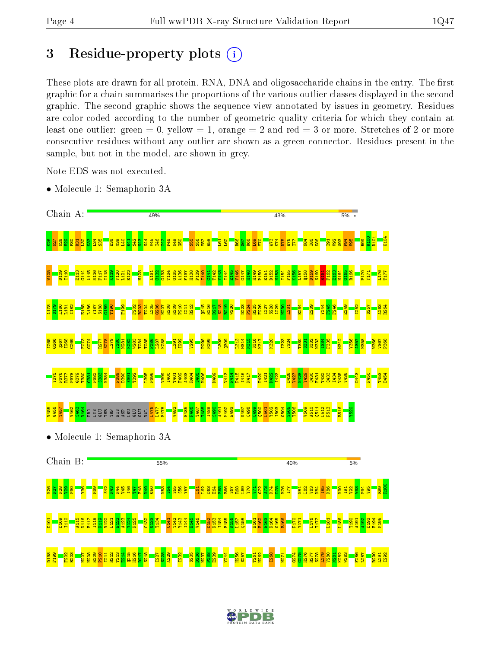# 3 Residue-property plots  $(i)$

These plots are drawn for all protein, RNA, DNA and oligosaccharide chains in the entry. The first graphic for a chain summarises the proportions of the various outlier classes displayed in the second graphic. The second graphic shows the sequence view annotated by issues in geometry. Residues are color-coded according to the number of geometric quality criteria for which they contain at least one outlier: green  $= 0$ , yellow  $= 1$ , orange  $= 2$  and red  $= 3$  or more. Stretches of 2 or more consecutive residues without any outlier are shown as a green connector. Residues present in the sample, but not in the model, are shown in grey.

Note EDS was not executed.

• Molecule 1: Semaphorin 3A



• Molecule 1: Semaphorin 3A



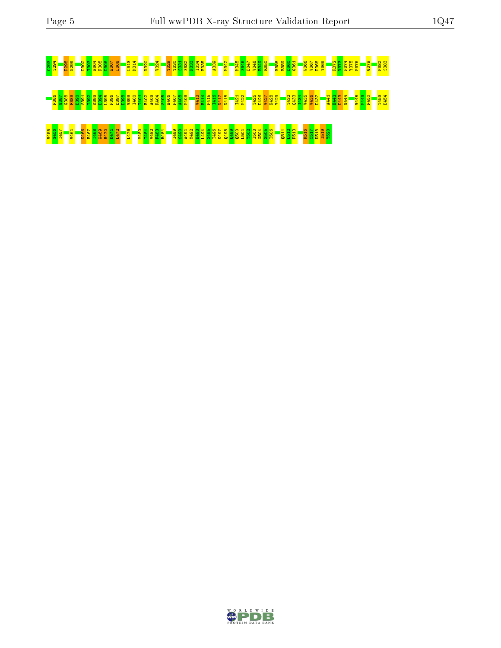# C293 S294 P298 N299 D302 T303 H304 F305 D306 E307 L308 L313 M314 K320 V324 T329 T330 S331 S332 N333 I334 F335 A339 M342 M345 S346 D347 V348 R349 R350 H358 R359 D360 G361 W366 V367 P368 Y369 R372 V373 P374 Y375 P376 G379 P382 S383 F386 G387 G388 F389 D390 S391 T392 K393 D394 L395 P396 D397 D398 V399 I400 T401 F402 A403 R404 S405 H406 P407 A408 M409 V413 F414 P415 I416 N417 N418 I421 M422 T425 D426 V427 N428 Y429 T432 Q433 I434 V435 V436 D437 A441 E442 D443 G444 V448 M449 F450 T453 D454 25 <mark>86 T47 B466 W460 T470 T480 S468 W469 T480 P480 P480 A492 S490 A491 A491 R48</mark><br><mark>890 T49 T496 S50 S490 L501 P50 Q500 R501 S500 S500 S506 S506 Q500 S506 L512 P506 E493 Q50</mark>

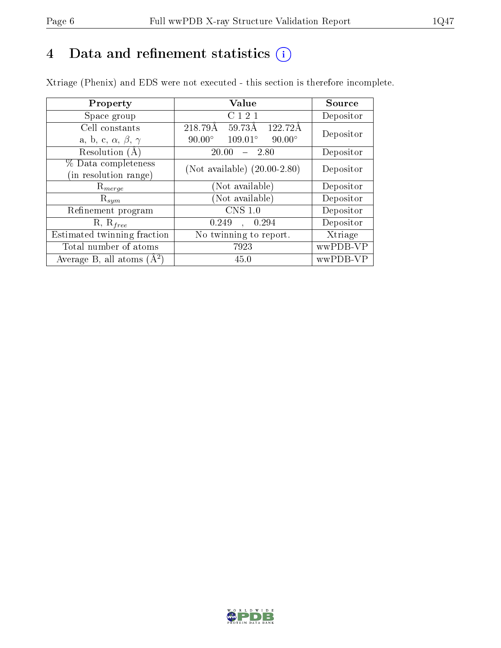# 4 Data and refinement statistics  $(i)$

Xtriage (Phenix) and EDS were not executed - this section is therefore incomplete.

| Property                               | Value                                              | Source    |  |
|----------------------------------------|----------------------------------------------------|-----------|--|
| Space group                            | C <sub>1</sub> 2 <sub>1</sub>                      | Depositor |  |
| Cell constants                         | $59.73\text{\AA}$<br>218.79Å<br>122.72Å            | Depositor |  |
| a, b, c, $\alpha$ , $\beta$ , $\gamma$ | $109.01^{\circ}$<br>$90.00^\circ$<br>$90.00^\circ$ |           |  |
| Resolution (A)                         | 20.00<br>- 2.80                                    | Depositor |  |
| % Data completeness                    | (Not available) $(20.00-2.80)$                     | Depositor |  |
| (in resolution range)                  |                                                    |           |  |
| $\mathrm{R}_{merge}$                   | (Not available)                                    | Depositor |  |
| $\mathrm{R}_{sym}$                     | (Not available)                                    | Depositor |  |
| Refinement program                     | CNS 1.0                                            | Depositor |  |
| $R, R_{free}$                          | 0.249<br>0.294                                     | Depositor |  |
| Estimated twinning fraction            | No twinning to report.                             | Xtriage   |  |
| Total number of atoms                  | 7923                                               | wwPDB-VP  |  |
| Average B, all atoms $(A^2)$           | 45.0                                               | wwPDB-VP  |  |

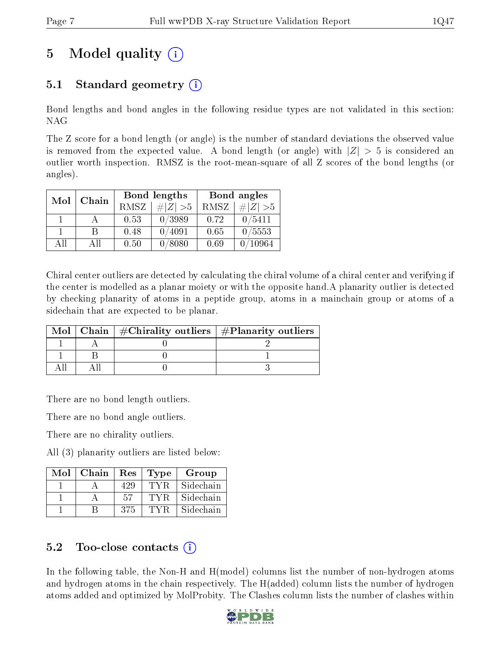# 5 Model quality  $(i)$

# 5.1 Standard geometry  $(i)$

Bond lengths and bond angles in the following residue types are not validated in this section: NAG

The Z score for a bond length (or angle) is the number of standard deviations the observed value is removed from the expected value. A bond length (or angle) with  $|Z| > 5$  is considered an outlier worth inspection. RMSZ is the root-mean-square of all Z scores of the bond lengths (or angles).

| Mol | Chain |             | Bond lengths | Bond angles |             |  |
|-----|-------|-------------|--------------|-------------|-------------|--|
|     |       | <b>RMSZ</b> | $\# Z  > 5$  | RMSZ        | $\ Z\  > 5$ |  |
|     |       | 0.53        | 0/3989       | 0.72        | 0/5411      |  |
|     | R     | 0.48        | 0/4091       | 0.65        | 0/5553      |  |
| AH  | Αll   | 0.50        | 0/8080       | 0.69        | 10964       |  |

Chiral center outliers are detected by calculating the chiral volume of a chiral center and verifying if the center is modelled as a planar moiety or with the opposite hand.A planarity outlier is detected by checking planarity of atoms in a peptide group, atoms in a mainchain group or atoms of a sidechain that are expected to be planar.

|  | Mol   Chain   $\#\text{Chirality outliers}$   $\#\text{Planarity outliers}$ |  |
|--|-----------------------------------------------------------------------------|--|
|  |                                                                             |  |
|  |                                                                             |  |
|  |                                                                             |  |

There are no bond length outliers.

There are no bond angle outliers.

There are no chirality outliers.

All (3) planarity outliers are listed below:

| Mol | Chain | Res | Type | Group     |
|-----|-------|-----|------|-----------|
|     |       | 429 | TYR. | Sidechain |
|     |       | .57 | 'TYR | Sidechain |
|     |       | 375 |      | Sidechain |

## $5.2$  Too-close contacts  $(i)$

In the following table, the Non-H and H(model) columns list the number of non-hydrogen atoms and hydrogen atoms in the chain respectively. The H(added) column lists the number of hydrogen atoms added and optimized by MolProbity. The Clashes column lists the number of clashes within

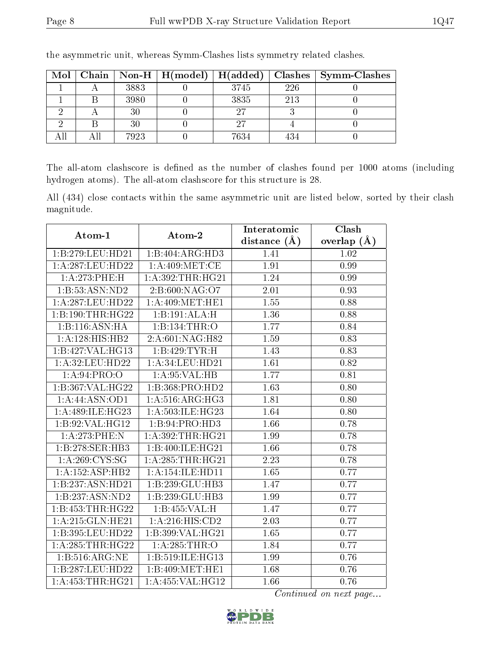| Mol | $ $ Chain $ $ |      | $\mid$ Non-H $\mid$ H(model) $\mid$ H(added) |      |     | $Clashes$   Symm-Clashes |
|-----|---------------|------|----------------------------------------------|------|-----|--------------------------|
|     |               | 3883 |                                              | 3745 | 226 |                          |
|     |               | 3980 |                                              | 3835 | 213 |                          |
|     |               | 30   |                                              | 97   |     |                          |
|     |               | 30   |                                              | 27   |     |                          |
|     |               | 7923 |                                              | 7634 | 434 |                          |

the asymmetric unit, whereas Symm-Clashes lists symmetry related clashes.

The all-atom clashscore is defined as the number of clashes found per 1000 atoms (including hydrogen atoms). The all-atom clashscore for this structure is 28.

All (434) close contacts within the same asymmetric unit are listed below, sorted by their clash magnitude.

| Atom-1               | Atom-2                       | Interatomic    | Clash         |
|----------------------|------------------------------|----------------|---------------|
|                      |                              | distance $(A)$ | overlap $(A)$ |
| 1:B:279:LEU:HD21     | $1:B:404:ARG:\overline{HD3}$ | 1.41           | 1.02          |
| 1: A:287:LEU:HD22    | 1: A:409:MET:CE              | 1.91           | 0.99          |
| 1:A:273:PHE:H        | 1: A:392:THR:HG21            | 1.24           | 0.99          |
| 1:B:53:ASN:ND2       | 2:B:600:NAG:O7               | 2.01           | 0.93          |
| 1: A:287:LEU:HD22    | 1: A:409:MET:HE1             | 1.55           | 0.88          |
| 1:B:190:THR:HG22     | 1:B:191:ALA:H                | 1.36           | 0.88          |
| 1:B:116:ASN:HA       | 1:B:134:THR:O                | 1.77           | 0.84          |
| 1: A: 128: HIS: HB2  | 2:A:601:NAG:H82              | 1.59           | 0.83          |
| 1:B:427:VAL:HG13     | 1:B:429:TYR:H                | 1.43           | 0.83          |
| 1: A:32: LEU: HD22   | 1:A:34:LEU:HD21              | 1.61           | 0.82          |
| 1: A:94: PRO:O       | 1: A:95: VAL:HB              | 1.77           | 0.81          |
| 1:B:367:VAL:HG22     | 1:B:368:PRO:HD2              | 1.63           | 0.80          |
| 1:A:44:ASN:OD1       | 1: A:516: ARG:HG3            | 1.81           | 0.80          |
| 1: A:489: ILE: HG23  | 1:A:503:ILE:HG23             | 1.64           | 0.80          |
| 1:B:92:VAL:HG12      | 1:B:94:PRO:HD3               | 1.66           | 0.78          |
| 1:A:273:PHE:N        | 1:A:392:THR:HG21             | 1.99           | 0.78          |
| 1:B:278:SER:HB3      | 1:B:400:ILE:HG21             | 1.66           | 0.78          |
| 1: A:269:CYS:SG      | 1: A:285:THR:HG21            | 2.23           | 0.78          |
| 1:A:152:ASP:HB2      | 1: A: 154: ILE: HD11         | 1.65           | 0.77          |
| 1:B:237:ASN:HD21     | 1:B:239:GLU:HB3              | 1.47           | 0.77          |
| 1:B:237:ASN:ND2      | 1:B:239:GLU:HB3              | 1.99           | 0.77          |
| 1:B:453:THR:HG22     | 1:B:455:VAL:H                | 1.47           | 0.77          |
| 1: A:215: GLN: HE21  | 1:A:216:HIS:CD2              | 2.03           | 0.77          |
| 1:B:395:LEU:HD22     | 1:B:399:VAL:HG21             | 1.65           | 0.77          |
| 1:A:285:THR:HG22     | 1:A:285:THR:O                | 1.84           | 0.77          |
| 1:B:516:ARG:NE       | 1:B:519:ILE:HG13             | 1.99           | 0.76          |
| 1:B:287:LEU:HD22     | 1:B:409:MET:HE1              | 1.68           | 0.76          |
| 1: A: 453: THR: HG21 | 1:A:455:VAL:HG12             | 1.66           | 0.76          |

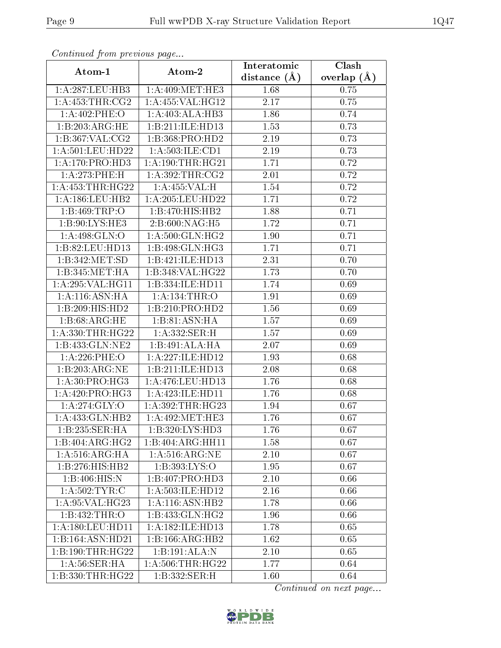| Commaca jibin previous page |                                   | $\overline{\text{Clash}}$<br>Interatomic |               |  |  |
|-----------------------------|-----------------------------------|------------------------------------------|---------------|--|--|
| Atom-1                      | Atom-2                            | distance $(A)$                           | overlap $(A)$ |  |  |
| 1:A:287:LEU:HB3             | 1: A:409:MET:HE3                  | 1.68                                     | 0.75          |  |  |
| 1: A: 453: THR: CG2         | 1:A:455:VAL:HG12                  | 2.17                                     | 0.75          |  |  |
| 1:A:402:PHE:O               | 1:A:403:ALA:HB3                   | 1.86                                     | 0.74          |  |  |
| 1:B:203:ARG:HE              | 1:B:211:ILE:HD13                  | 1.53                                     | 0.73          |  |  |
| 1:B:367:VAL:CG2             | 1:B:368:PRO:HD2                   | 2.19                                     | 0.73          |  |  |
| 1:A:501:LEU:HD22            | 1: A:503: ILE: CD1                | 2.19                                     | 0.73          |  |  |
| 1: A:170: PRO:HD3           | 1: A:190:THR:HG21                 | 1.71                                     | 0.72          |  |  |
| 1:A:273:PHE:H               | 1: A:392:THR:CG2                  | 2.01                                     | 0.72          |  |  |
| 1: A: 453: THR: HG22        | 1: A: 455: VAL:H                  | 1.54                                     | 0.72          |  |  |
| 1: A: 186: LEU: HB2         | 1:A:205:LEU:HD22                  | 1.71                                     | 0.72          |  |  |
| 1:B:469:TRP:O               | 1:B:470:HIS:HB2                   | 1.88                                     | 0.71          |  |  |
| 1:B:90:LYS:HE3              | 2: B:600:NAG: H5                  | 1.72                                     | 0.71          |  |  |
| 1:A:498:GLN:O               | 1: A:500: GLN: HG2                | 1.90                                     | 0.71          |  |  |
| 1:B:82:LEU:HD13             | 1:B:498:GLN:HG3                   | 1.71                                     | 0.71          |  |  |
| 1:B:342:MET:SD              | 1:B:421:ILE:HD13                  | 2.31                                     | 0.70          |  |  |
| 1:B:345:MET:HA              | 1:B:348:VAL:HG22                  | 1.73                                     | 0.70          |  |  |
| 1:A:295:VAL:HG11            | 1:B:334:ILE:HD11                  | 1.74                                     | 0.69          |  |  |
| 1: A:116: ASN: HA           | 1:A:134:THR:O                     | 1.91                                     | 0.69          |  |  |
| 1:B:209:HIS:HD2             | 1:B:210:PRO:HD2                   | 1.56                                     | 0.69          |  |  |
| 1:B:68:ARG:HE               | 1:B:81:ASN:HA                     | 1.57                                     | 0.69          |  |  |
| 1: A: 330: THR: HG22        | 1:A:332:SER:H                     | 1.57                                     | 0.69          |  |  |
| 1:B:433:GLN:NE2             | 1:B:491:ALA:HA                    | 2.07                                     | 0.69          |  |  |
| $1: A:226:$ PHE:O           | 1:A:227:ILE:HD12                  | 1.93                                     | 0.68          |  |  |
| 1:B:203:ARG:NE              | 1:B:211:ILE:HD13                  | 2.08                                     | 0.68          |  |  |
| 1: A:30: PRO:HG3            | $1:$ A:476:LEU:HD13               | 1.76                                     | 0.68          |  |  |
| 1:A:420:PRO:H <sub>G3</sub> | 1:A:423:ILE:HD11                  | 1.76                                     | 0.68          |  |  |
| 1:A:274:GLY:O               | 1: A:392:THR:HG23                 | 1.94                                     | 0.67          |  |  |
| 1:A:433:GLN:HB2             | 1: A:492:MET:HE3                  | 1.76                                     | 0.67          |  |  |
| 1:B:235:SER:HA              | 1:B:320:LYS:HD3                   | 1.76                                     | 0.67          |  |  |
| 1:B:404:ARG:HG2             | 1:B:404:ARG:HH11                  | 1.58                                     | 0.67          |  |  |
| 1: A:516: ARG: HA           | 1: A:516: ARG: NE                 | 2.10                                     | 0.67          |  |  |
| 1:B:276:HIS:HB2             | 1:B:393:LYS:O                     | 1.95                                     | 0.67          |  |  |
| 1:B:406:HIS:N               | 1:B:407:PRO:HD3                   | 2.10                                     | 0.66          |  |  |
| 1: A:502:TYR:C              | 1:A:503:ILE:HD12                  | 2.16                                     | 0.66          |  |  |
| 1: A:95: VAL:HG23           | 1:A:116:ASN:HB2                   | 1.78                                     | 0.66          |  |  |
| $1:B:432:\overline{THR:O}$  | 1:B:433:GLN:HG2                   | 1.96                                     | 0.66          |  |  |
| 1: A:180: LEU: HD11         | 1:A:182:ILE:HD13                  | 1.78                                     | 0.65          |  |  |
| 1:B:164:ASN:HD21            | 1:B:166:ARG:HB2                   | 1.62                                     | 0.65          |  |  |
| 1:B:190:THR:HG22            | 1:B:191:ALA:N                     | 2.10                                     | 0.65          |  |  |
| 1: A:56: SER: HA            | 1: A:506:THR:HG22                 | 1.77                                     | 0.64          |  |  |
| 1:B:330:THR:HG22            | $1:B:332:\overline{\text{SER:H}}$ | 1.60                                     | 0.64          |  |  |

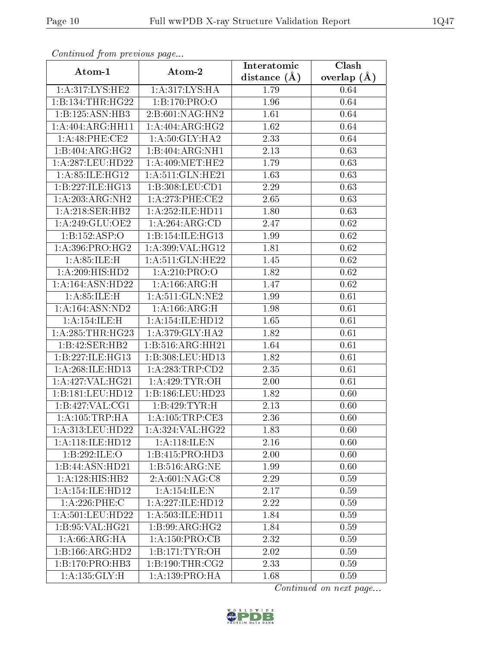| Commaca jibin previous page  |                                      | Interatomic    | Clash         |
|------------------------------|--------------------------------------|----------------|---------------|
| Atom-1                       | Atom-2                               | distance $(A)$ | overlap $(A)$ |
| 1: A:317: LYS: HE2           | 1: A:317: LYS: HA                    | 1.79           | 0.64          |
| 1:B:134:THR:HG22             | 1:B:170:PRO:O                        | 1.96           | 0.64          |
| 1:B:125:ASN:HB3              | 2: B:601: NAG:HN2                    | 1.61           | 0.64          |
| 1:A:404:ARG:HH11             | 1:A:404:ARG:HG2                      | 1.62           | 0.64          |
| 1:A:48:PHE:CE2               | 1: A:50: GLY: HA2                    | 2.33           | 0.64          |
| 1:B:404:ARG:HG2              | 1:B:404:ARG:NH1                      | 2.13           | 0.63          |
| 1:A:287:LEU:HD22             | 1: A:409:MET:HE2                     | 1.79           | 0.63          |
| 1: A:85: ILE:HG12            | 1:A:511:GLN:HE21                     | 1.63           | 0.63          |
| 1: B:227: ILE: HG13          | 1:B:308:LEU:CD1                      | 2.29           | 0.63          |
| 1:A:203:ARG:NH2              | 1: A:273: PHE:CE2                    | 2.65           | 0.63          |
| 1: A:218: SER: HB2           | 1:A:252:ILE:HD11                     | 1.80           | 0.63          |
| 1:A:249:GLU:OE2              | 1:A:264:ARG:CD                       | 2.47           | $0.62\,$      |
| 1:B:152:ASP:O                | 1:B:154:ILE:HG13                     | 1.99           | $0.62\,$      |
| 1: A:396: PRO:HG2            | 1: A:399: VAL:HG12                   | 1.81           | 0.62          |
| 1: A:85: ILE:H               | 1:A:511:GLN:HE22                     | 1.45           | $0.62\,$      |
| 1:A:209:HIS:HD2              | 1: A:210: PRO:O                      | 1.82           | 0.62          |
| 1:A:164:ASN:HD22             | 1:A:166:ARG:H                        | 1.47           | 0.62          |
| 1: A:85: ILE:H               | 1: A:511: GLN: NE2                   | 1.99           | 0.61          |
| 1: A: 164: ASN: ND2          | 1:A:166:ARG:H                        | 1.98           | 0.61          |
| 1:A:154:ILE:H                | $1:$ A:154:ILE:HD12                  | 1.65           | 0.61          |
| 1: A:285:THR:HG23            | 1: A:379: GLY:HA2                    | 1.82           | 0.61          |
| 1:B:42:SER:HB2               | 1: B:516: ARG: HH21                  | 1.64           | 0.61          |
| 1:B:227:ILE:HGI3             | 1:B:308:LEU:HD13                     | 1.82           | 0.61          |
| 1:A:268:ILE:HD13             | 1:A:283:TRP:CD2                      | 2.35           | 0.61          |
| 1:A:427:VAL:HG21             | 1: A:429: TYR:OH                     | 2.00           | 0.61          |
| 1:B:181:LEU:HD12             | 1:B:186:LEU:HD23                     | 1.82           | 0.60          |
| 1:B:427:VAL:CG1              | 1:B:429:TYR:H                        | 2.13           | 0.60          |
| 1: A: 105: TRP: HA           | $1:$ A:105:TRP:CE3                   | 2.36           | 0.60          |
| $1: A:313:$ LEU:HD22         | 1: A:324: VAL:HG22                   | 1.83           | 0.60          |
| 1:A:118:ILE:HD12             | 1:A:118:ILE:N                        | 2.16           | 0.60          |
| 1:B:292:ILE:O                | 1:B:415:PRO:HD3                      | 2.00           | 0.60          |
| 1:B:44:ASN:HD21              | 1:B:516:ARG:NE                       | 1.99           | 0.60          |
| $1:A:128:\overline{HIS:HB2}$ | 2:A:601:NAG:C8                       | 2.29           | 0.59          |
| 1:A:154:ILE:HD12             | 1: A:154: ILE:N                      | 2.17           | 0.59          |
| $1:A:226:$ PHE:C             | 1:A:227:ILE:HD12                     | 2.22           | 0.59          |
| 1:A:501:LEU:HD22             | 1:A:503:ILE:HD11                     | 1.84           | 0.59          |
| 1:B:95:VAL:HG21              | 1:B:99:ARG:HG2                       | 1.84           | 0.59          |
| 1: A:66: ARG: HA             | $1:A:150:\overline{\mathrm{PRO:CB}}$ | 2.32           | 0.59          |
| 1:B:166:ARG:HD2              | 1:B:171:TYR:OH                       | 2.02           | 0.59          |
| 1:B:170:PRO:HB3              | 1: B: 190: THR: CG2                  | 2.33           | 0.59          |
| 1: A: 135: GLY: H            | 1: A: 139: PRO: HA                   | 1.68           | 0.59          |

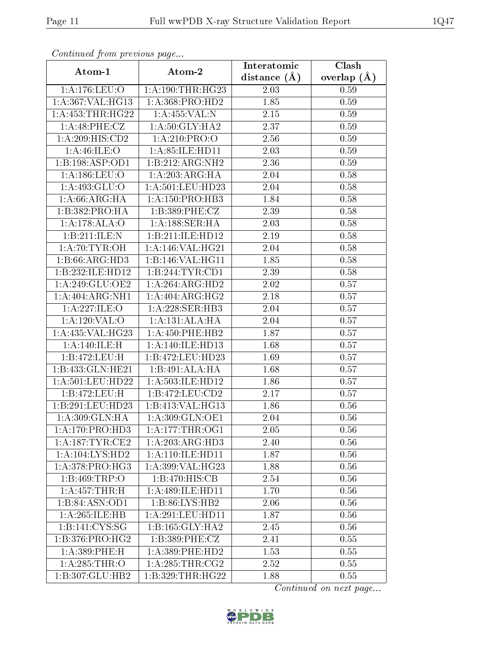| Continuea from previous page |                     | Interatomic       | Clash         |  |
|------------------------------|---------------------|-------------------|---------------|--|
| Atom-1                       | Atom-2              | distance $(\AA)$  | overlap $(A)$ |  |
| 1:A:176:LEU:O                | 1: A:190:THR:HG23   | 2.03              | 0.59          |  |
| 1:A:367:VAL:HG13             | 1:A:368:PRO:HD2     | 1.85              | 0.59          |  |
| 1: A: 453: THR: HG22         | 1:A:455:VAL:N       | 2.15              | 0.59          |  |
| 1:A:48:PHE:CZ                | 1: A:50: GLY: HA2   | 2.37              | 0.59          |  |
| $1:A:209:\overline{HIS:CD2}$ | 1: A:210: PRO:O     | 2.56              | 0.59          |  |
| 1: A:46: ILE: O              | 1:A:85:ILE:HD11     | 2.03              | 0.59          |  |
| 1:B:198:ASP:OD1              | 1:B:212:ARG:NH2     | 2.36              | 0.59          |  |
| 1:A:186:LEU:O                | 1:A:203:ARG:HA      | 2.04              | 0.58          |  |
| 1:A:493:GLU:O                | 1:A:501:LEU:HD23    | 2.04              | 0.58          |  |
| 1: A:66: ARG: HA             | 1:A:150:PRO:HB3     | 1.84              | 0.58          |  |
| 1:B:382:PRO:HA               | 1:B:389:PHE:CZ      | 2.39              | 0.58          |  |
| 1:A:178:ALA:O                | 1:A:188:SER:HA      | $\overline{2}.03$ | 0.58          |  |
| 1:B:211:ILE:N                | 1:B:211:ILE:HD12    | $2.19\,$          | 0.58          |  |
| 1: A:70: TYR:OH              | 1:A:146:VAL:HG21    | 2.04              | 0.58          |  |
| 1:B:66:ARG:HD3               | 1:B:146:VAL:HG11    | 1.85              | 0.58          |  |
| 1:B:232:ILE:HD12             | 1:B:244:TYR:CD1     | 2.39              | 0.58          |  |
| 1:A:249:GLU:OE2              | 1:A:264:ARG:HD2     | 2.02              | 0.57          |  |
| 1:A:404:ARG:NH1              | 1:A:404:ARG:HG2     | 2.18              | 0.57          |  |
| 1:A:227:ILE:O                | 1:A:228:SER:HB3     | 2.04              | 0.57          |  |
| 1:A:120:VAL:O                | 1:A:131:ALA:HA      | 2.04              | 0.57          |  |
| 1:A:435:VAL:HG23             | 1: A: 450: PHE: HB2 | 1.87              | 0.57          |  |
| 1:A:140:ILE:H                | 1: A:140: ILE: HD13 | 1.68              | 0.57          |  |
| 1:B:472:LEU:H                | 1:B:472:LEU:HD23    | 1.69              | 0.57          |  |
| 1:B:433:GLN:HE21             | 1:B:491:ALA:HA      | 1.68              | 0.57          |  |
| 1:A:501:LEU:HD22             | 1:A:503:ILE:HD12    | 1.86              | 0.57          |  |
| 1:B:472:LEU:H                | 1:B:472:LEU:CD2     | 2.17              | 0.57          |  |
| 1:B:291:LEU:HD23             | 1:B:413:VAL:HG13    | 1.86              | 0.56          |  |
| 1:A:309:GLN:HA               | 1:A:309:GLN:OE1     | 2.04              | 0.56          |  |
| 1: A:170: PRO:HD3            | 1: A:177:THR:OG1    | 2.05              | 0.56          |  |
| 1: A:187:TYR:CE2             | 1:A:203:ARG:HD3     | 2.40              | 0.56          |  |
| 1:A:104:LYS:HD2              | 1: A:110: ILE: HD11 | 1.87              | 0.56          |  |
| 1: A:378: PRO:HG3            | 1:A:399:VAL:HG23    | 1.88              | 0.56          |  |
| 1:B:469:TRP:O                | 1:B:470:HIS:CB      | 2.54              | 0.56          |  |
| $1:A:457$ : THR: H           | 1:A:489:ILE:HD11    | 1.70              | 0.56          |  |
| 1:B:84:ASN:OD1               | 1:B:86:LYS:HB2      | 2.06              | 0.56          |  |
| 1:A:265:ILE:HB               | 1:A:291:LEU:HD11    | 1.87              | 0.56          |  |
| 1:B:141:CYS:SG               | 1: B: 165: GLY: HA2 | 2.45              | 0.56          |  |
| 1:B:376:PRO:HG2              | 1:B:389:PHE:CZ      | 2.41              | 0.55          |  |
| 1:A:389:PHE:H                | 1: A: 389: PHE: HD2 | 1.53              | 0.55          |  |
| 1: A:285:THR:O               | 1: A:285:THR:CG2    | 2.52              | 0.55          |  |
| 1:B:307:GLU:HB2              | 1:B:329:THR:HG22    | 1.88              | 0.55          |  |

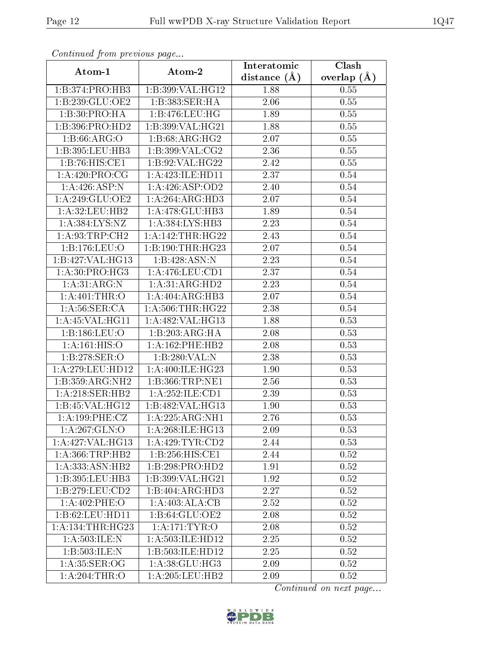| Continuea from previous page |                                      | Clash<br>Interatomic |               |  |
|------------------------------|--------------------------------------|----------------------|---------------|--|
| Atom-1                       | Atom-2                               | distance $(A)$       | overlap $(A)$ |  |
| 1:B:374:PRO:HB3              | 1:B:399:VAL:HG12                     | 1.88                 | 0.55          |  |
| 1:B:239:GLU:OE2              | 1:B:383:SER:HA                       | 2.06                 | 0.55          |  |
| 1:B:30:PRO:HA                | 1:B:476:LEU:HG                       | 1.89                 | 0.55          |  |
| 1:B:396:PRO:HD2              | 1:B:399:VAL:HG21                     | 1.88                 | 0.55          |  |
| 1: B:66: ARG:O               | 1: B:68: ARG: HG2                    | 2.07                 | 0.55          |  |
| $1:B:395:LEU:H\overline{B3}$ | 1:B:399:VAL:CG2                      | 2.36                 | 0.55          |  |
| 1:B:76:HIS:CE1               | 1:B:92:VAL:HG22                      | 2.42                 | 0.55          |  |
| 1: A:420: PRO:CG             | 1:A:423:ILE:HD11                     | 2.37                 | 0.54          |  |
| 1:A:426:ASP:N                | 1: A:426: ASP:OD2                    | 2.40                 | 0.54          |  |
| 1:A:249:GLU:OE2              | 1:A:264:ARG:HD3                      | 2.07                 | 0.54          |  |
| 1:A:32:LEU:HB2               | $1:A:478:GLU:H\overline{B3}$         | 1.89                 | 0.54          |  |
| 1:A:384:LYS:NZ               | $1:A:384:\overline{\text{LYS:HB3}}$  | 2.23                 | 0.54          |  |
| 1: A:93:TRP:CH2              | 1: A:142:THR:HG22                    | 2.43                 | 0.54          |  |
| 1:B:176:LEU:O                | 1: B: 190: THR: HG23                 | 2.07                 | 0.54          |  |
| 1:B:427:VAL:HG13             | 1:B:428:ASN:N                        | 2.23                 | 0.54          |  |
| 1: A:30: PRO:HG3             | 1: A:476:LEU:CD1                     | 2.37                 | 0.54          |  |
| 1:A:31:ARG:N                 | 1:A:31:ARG:HD2                       | 2.23                 | 0.54          |  |
| 1: A:401:THR:O               | 1:A:404:ARG:HB3                      | $2.07\,$             | 0.54          |  |
| 1: A:56: SER:CA              | 1: A:506:THR:HG22                    | 2.38                 | 0.54          |  |
| 1:A:45:VAL:HG11              | 1: A:482: VAL: HG13                  | 1.88                 | 0.53          |  |
| 1:B:186:LEU:O                | 1:B:203:ARG:HA                       | 2.08                 | 0.53          |  |
| 1:A:161:HIS:O                | 1:A:162:PHE:HB2                      | 2.08                 | 0.53          |  |
| 1:B:278:SER:O                | 1:B:280:VAL:N                        | 2.38                 | 0.53          |  |
| 1: A:279: LEU: HD12          | 1:A:400:ILE:HG23                     | 1.90                 | 0.53          |  |
| 1:B:359:ARG:NH2              | 1:B:366:TRP:NE1                      | 2.56                 | 0.53          |  |
| 1: A:218: SER: HB2           | 1: A:252: ILE: CD1                   | 2.39                 | 0.53          |  |
| 1:B:45:VAL:HG12              | 1:B:482:VAL:HG13                     | 1.90                 | 0.53          |  |
| 1:A:199:PHE:CZ               | $1:\!A:\!225:\!ARG:\!N\overline{H1}$ | 2.76                 | 0.53          |  |
| 1: A:267: GLN:O              | 1:A:268:ILE:HG13                     | 2.09                 | 0.53          |  |
| 1:A:427:VAL:HG13             | 1:A:429:TYR:CD2                      | 2.44                 | 0.53          |  |
| 1: A: 366: TRP: HB2          | 1:B:256:HIS:CE1                      | 2.44                 | 0.52          |  |
| 1: A: 333: ASN: HB2          | 1:B:298:PRO:HD2                      | 1.91                 | 0.52          |  |
| 1:B:395:LEU:HB3              | 1:B:399:VAL:HG21                     | 1.92                 | 0.52          |  |
| 1:B:279:LEU:CD2              | 1:B:404:ARG:HD3                      | 2.27                 | 0.52          |  |
| 1:A:402:PHE:O                | 1:A:403:ALA:CB                       | 2.52                 | 0.52          |  |
| 1:B:62:LEU:HD11              | 1:B:64:GLU:OE2                       | 2.08                 | 0.52          |  |
| 1:A:134:THR:HG23             | 1: A:171: TYR: O                     | 2.08                 | 0.52          |  |
| 1: A:503: ILE:N              | 1: A: 503: ILE: HD12                 | 2.25                 | 0.52          |  |
| 1:B:503:ILE:N                | 1:B:503:ILE:HD12                     | 2.25                 | 0.52          |  |
| 1: A:35: SER:OG              | 1:A:38:GLU:HG3                       | 2.09                 | 0.52          |  |
| 1: A:204:THR:O               | 1:A:205:LEU:HB2                      | 2.09                 | 0.52          |  |

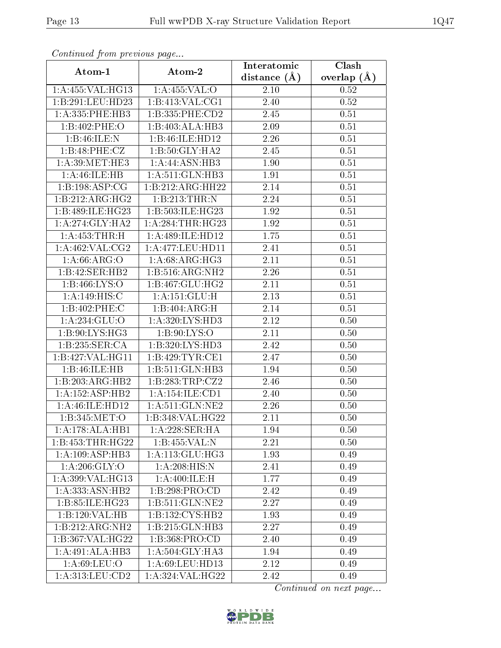| Continued from previous page          |                                 | Interatomic    | Clash         |
|---------------------------------------|---------------------------------|----------------|---------------|
| Atom-1                                | Atom-2                          | distance $(A)$ | overlap $(A)$ |
| 1:A:455:VAL:HG13                      | 1:A:455:VAL:O                   | 2.10           | 0.52          |
| 1:B:291:LEU:HD23                      | 1:B:413:VAL:CG1                 | 2.40           | 0.52          |
| 1: A: 335: PHE: HB3                   | 1:B:335:PHE:CD2                 | 2.45           | 0.51          |
| 1:B:402:PHE:O                         | 1:B:403:ALA:HB3                 | 2.09           | 0.51          |
| 1:B:46:ILE:N                          | 1:B:46:ILE:HD12                 | 2.26           | 0.51          |
| 1:B:48:PHE:CZ                         | 1:B:50:GLY:HA2                  | 2.45           | 0.51          |
| $1: A:39: \widehat{\mathrm{MET:HE3}}$ | 1:A:44:ASN:HB3                  | 1.90           | 0.51          |
| 1: A: 46: ILE: HB                     | 1:A:511:GLN:HB3                 | 1.91           | 0.51          |
| 1:B:198:ASP:CG                        | $1:B:212:A\overline{RG:HH22}$   | $2.14\,$       | 0.51          |
| 1:B:212:ARG:HG2                       | 1:B:213:THR:N                   | 2.24           | 0.51          |
| 1:B:489:ILE:HG23                      | 1:B:503:ILE:HG23                | 1.92           | 0.51          |
| 1: A:274: GLY:HA2                     | 1: A:284:THR:HG23               | 1.92           | 0.51          |
| 1:A:453:THR:H                         | 1:A:489:ILE:HD12                | 1.75           | 0.51          |
| 1: A:462: VAL: CG2                    | 1:A:477:LEU:HD11                | 2.41           | 0.51          |
| 1: A:66: ARG:O                        | 1: A:68: ARG: HG3               | 2.11           | 0.51          |
| 1:B:42:SER:HB2                        | 1:B:516:ARG:NH2                 | 2.26           | 0.51          |
| 1:B:466:LYS:O                         | 1:B:467:GLU:HG2                 | 2.11           | 0.51          |
| 1:A:149:HIS:C                         | 1: A: 151: GLU: H               | 2.13           | 0.51          |
| 1:B:402:PHE:C                         | 1:B:404:ARG:H                   | 2.14           | 0.51          |
| 1: A:234: GLU:O                       | 1:A:320:LYS:HD3                 | 2.12           | 0.50          |
| 1:B:90:LYS:HG3                        | 1:B:90:LYS:O                    | 2.11           | 0.50          |
| 1:B:235:SER:CA                        | 1:B:320:LYS:HD3                 | 2.42           | 0.50          |
| 1:B:427:VAL:HG11                      | 1:B:429:TYR:CE1                 | 2.47           | 0.50          |
| 1:B:46:ILE:HB                         | 1:B:511:GLN:HB3                 | 1.94           | 0.50          |
| 1:B:203:ARG:HB2                       | 1:B:283:TRP:CZ2                 | 2.46           | 0.50          |
| 1: A: 152: ASP: HB2                   | 1:A:154:ILE:CD1                 | 2.40           | 0.50          |
| 1:A:46:ILE:HD12                       | $1: A:511: GLN: \overline{NE2}$ | 2.26           | 0.50          |
| 1: B:345: MET:O                       | 1:B:348:VAL:HG22                | 2.11           | 0.50          |
| 1:A:178:ALA:HB1                       | 1: A:228: SER: HA               | 1.94           | 0.50          |
| 1:B:453:THR:HG22                      | 1:B:455:VAL:N                   | 2.21           | 0.50          |
| 1:A:109:ASP:HB3                       | 1:A:113:GLU:HG3                 | 1.93           | 0.49          |
| 1: A:206: GLY:O                       | 1:A:208:HIS:N                   | 2.41           | 0.49          |
| 1: A:399: VAL:HG13                    | 1:A:400:ILE:H                   | 1.77           | 0.49          |
| 1:A:333:ASN:HB2                       | 1:B:298:PRO:CD                  | 2.42           | 0.49          |
| 1:B:85:ILE:HG23                       | 1: B:511: GLN: NE2              | 2.27           | 0.49          |
| 1:B:120:VAL:HB                        | 1:B:132:CYS:HB2                 | 1.93           | 0.49          |
| 1:B:212:ARG:NH2                       | 1:B:215:GLN:HB3                 | 2.27           | 0.49          |
| 1:B:367:VAL:HG22                      | 1:B:368:PRO:CD                  | 2.40           | 0.49          |
| 1:A:491:ALA:HB3                       | 1:A:504:GLY:HA3                 | 1.94           | 0.49          |
| 1: A:69: LEU:O                        | 1:A:69:LEU:HD13                 | 2.12           | 0.49          |
| 1: A:313: LEU:CD2                     | 1:A:324:VAL:HG22                | 2.42           | 0.49          |

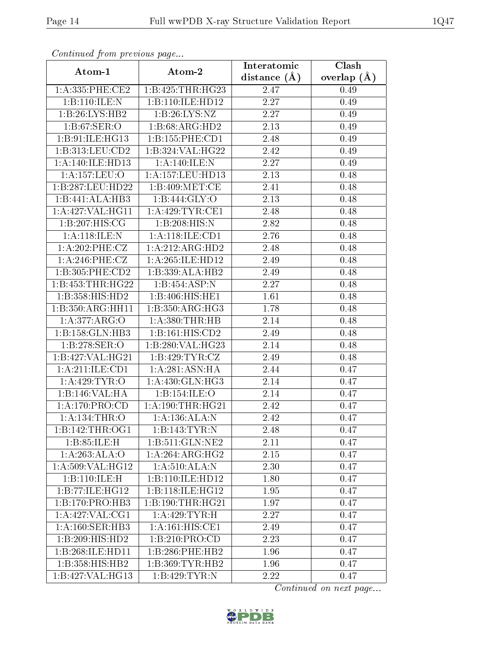| Communaca from previous page         |                             | Interatomic    | Clash         |
|--------------------------------------|-----------------------------|----------------|---------------|
| Atom-1                               | Atom-2                      | distance $(A)$ | overlap $(A)$ |
| 1: A: 335: PHE: CE2                  | 1:B:425:THR:HG23            | 2.47           | 0.49          |
| 1:B:110:ILE:N                        | 1:B:110:ILE:HD12            | 2.27           | 0.49          |
| 1:B:26:LYS:HB2                       | 1:B:26:LYS:NZ               | 2.27           | 0.49          |
| $1: B:67: SER: \overline{O}$         | $1:B:68:ARG:H\overline{D2}$ | 2.13           | 0.49          |
| 1:B:91:ILE:HG13                      | 1:B:155:PHE:CD1             | 2.48           | 0.49          |
| 1:B:313:LEU:CD2                      | 1:B:324:VAL:HG22            | 2.42           | 0.49          |
| 1:A:140:ILE:HD13                     | 1:A:140:ILE:N               | 2.27           | 0.49          |
| $1:$ A:157:LEU:O                     | 1: A: 157: LEU: HD13        | 2.13           | 0.48          |
| 1:B:287:LEU:HD22                     | 1:B:409:MET:CE              | 2.41           | 0.48          |
| 1:B:441:ALA:HB3                      | 1:B:444:GLY:O               | 2.13           | 0.48          |
| 1:A:427:VAL:HG11                     | 1: A:429:TYR:CE1            | 2.48           | 0.48          |
| $1:B:207:H\overline{\mathrm{IS:CG}}$ | 1:B:208:HIS:N               | 2.82           | 0.48          |
| 1:A:118:ILE:N                        | 1:A:118:ILE:CD1             | 2.76           | 0.48          |
| 1: A:202:PHE:CZ                      | 1:A:212:ARG:HD2             | 2.48           | 0.48          |
| 1:A:246:PHE:CZ                       | 1:A:265:ILE:HD12            | 2.49           | 0.48          |
| 1:B:305:PHE:CD2                      | 1:B:339:ALA:HB2             | 2.49           | 0.48          |
| 1:B:453:THR:HG22                     | 1:B:454:ASP:N               | 2.27           | 0.48          |
| 1:B:358:HIS:HD2                      | 1:B:406:HIS:HE1             | 1.61           | 0.48          |
| 1:B:350:ARG:HH11                     | 1:B:350:ARG:HG3             | 1.78           | 0.48          |
| 1:A:377:ARG:O                        | 1: A:380:THR:HB             | 2.14           | 0.48          |
| 1:B:158:GLN:HB3                      | 1: B:161: HIS: CD2          | 2.49           | 0.48          |
| 1:B:278:SER:O                        | 1:B:280:VAL:HG23            | 2.14           | 0.48          |
| 1:B:427:VAL:HG21                     | 1: B: 429: TYR: CZ          | 2.49           | 0.48          |
| 1:A:211:ILE:CD1                      | 1:A:281:ASN:HA              | 2.44           | 0.47          |
| 1:A:429:TYR:0                        | 1:A:430:GLN:HG3             | 2.14           | 0.47          |
| 1:B:146:VAL:HA                       | 1:B:154:ILE:O               | 2.14           | 0.47          |
| 1:A:170:PRO:CD                       | 1: A:190:THR:HG21           | 2.42           | 0.47          |
| 1: A: 134: THR: O                    | 1: A: 136: ALA: N           | 2.42           | 0.47          |
| 1:B:142:THR:OG1                      | 1:B:143:TYR:N               | 2.48           | 0.47          |
| 1: B: 85: ILE:H                      | 1:B:511:GLN:NE2             | 2.11           | 0.47          |
| 1:A:263:ALA:O                        | 1:A:264:ARG:HG2             | 2.15           | 0.47          |
| 1:A:509:VAL:HG12                     | 1: A:510:ALA:N              | 2.30           | 0.47          |
| 1:B:110:ILE:H                        | 1:B:110:ILE:HD12            | 1.80           | 0.47          |
| 1:B:77:ILE:HG12                      | 1:B:118:ILE:HG12            | 1.95           | 0.47          |
| 1:B:170:PRO:HB3                      | 1:B:190:THR:HG21            | 1.97           | 0.47          |
| 1:A:427:VAL:CG1                      | 1:A:429:TYR:H               | 2.27           | 0.47          |
| 1: A:160: SER: HB3                   | 1:A:161:HIS:CE1             | 2.49           | 0.47          |
| 1:B:209:HIS:HD2                      | 1:B:210:PRO:CD              | 2.23           | 0.47          |
| 1:B:268:ILE:HD11                     | 1:B:286:PHE:HB2             | 1.96           | 0.47          |
| 1:B:358:HIS:HB2                      | 1:B:369:TYR:HB2             | 1.96           | 0.47          |
| 1:B:427:VAL:HG13                     | 1:B:429:TYR:N               | 2.22           | 0.47          |

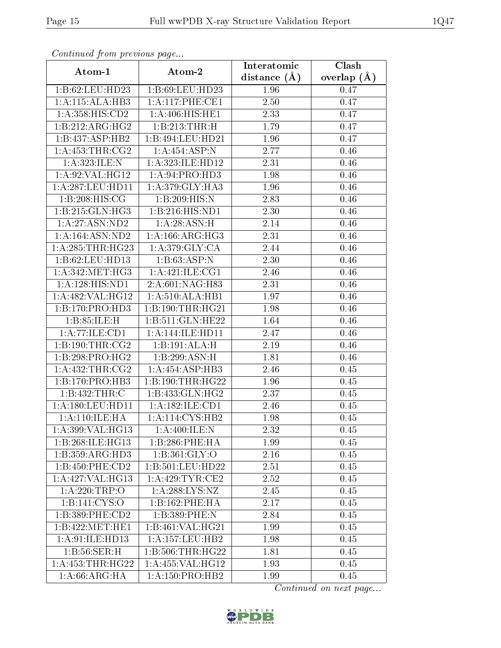| Continuea from previous page<br>Interatomic |                     |                | Clash         |  |
|---------------------------------------------|---------------------|----------------|---------------|--|
| Atom-1                                      | Atom-2              | distance $(A)$ | overlap $(A)$ |  |
| 1:B:62:LEU:HD23                             | 1:B:69:LEU:HD23     | 1.96           | 0.47          |  |
| 1:A:115:ALA:HB3                             | 1:A:117:PHE:CE1     | 2.50           | 0.47          |  |
| 1:A:358:HIS:CD2                             | 1:A:406:HIS:HET     | 2.33           | 0.47          |  |
| 1:B:212:ARG:HG2                             | 1:B:213:THR:H       | 1.79           | 0.47          |  |
| 1:B:437:ASP:HB2                             | 1:B:494:LEU:HD21    | 1.96           | 0.47          |  |
| 1: A: 453: THR: CG2                         | 1:A:454:ASP:N       | 2.77           | 0.46          |  |
| 1: A:323: ILE:N                             | 1:A:323:ILE:HD12    | 2.31           | 0.46          |  |
| 1: A:92: VAL: HG12                          | 1:A:94:PRO:HD3      | 1.98           | 0.46          |  |
| 1: A:287:LEU:HD11                           | 1:A:379:GLY:HA3     | 1.96           | 0.46          |  |
| 1:B:208:HIS:CG                              | 1:B:209:HIS:N       | 2.83           | 0.46          |  |
| 1:B:215:GLN:HG3                             | 1:B:216:HIS:ND1     | 2.30           | 0.46          |  |
| 1: A:27:ASN:ND2                             | 1: A:28: ASN:H      | 2.14           | 0.46          |  |
| 1: A: 164: ASN: ND2                         | 1: A:166: ARG:HG3   | 2.31           | 0.46          |  |
| 1: A:285:THR:HG23                           | 1: A:379: GLY: CA   | 2.44           | 0.46          |  |
| 1:B:62:LEU:HD13                             | 1:B:63:ASP:N        | 2.30           | 0.46          |  |
| 1: A:342:MET:HG3                            | 1:A:421:ILE:CG1     | 2.46           | 0.46          |  |
| 1:A:128:HIS:ND1                             | 2:A:601:NAG:H83     | 2.31           | 0.46          |  |
| 1: A:482: VAL:HG12                          | 1: A:510:ALA:HB1    | 1.97           | 0.46          |  |
| $1:B:170:P\overline{RO:H\overline{D3}}$     | 1:B:190:THR:HG21    | 1.98           | 0.46          |  |
| 1: B:85: ILE:H                              | 1:B:511:GLN:HE22    | 1.64           | 0.46          |  |
| 1:A:77:ILE:CD1                              | 1: A:144: ILE: HD11 | 2.47           | 0.46          |  |
| 1: B: 190: THR: CG2                         | 1:B:191:ALA:H       | 2.19           | 0.46          |  |
| 1:B:298:PRO:HG2                             | 1:B:299:ASN:H       | 1.81           | 0.46          |  |
| 1: A: 432: THR: CG2                         | 1:A:454:ASP:HB3     | 2.46           | 0.45          |  |
| 1:B:170:PRO:HB3                             | 1:B:190:THR:HG22    | 1.96           | 0.45          |  |
| $1:B:432:\overline{\mathsf{THR}:C}$         | 1:B:433:GLN:HG2     | 2.37           | 0.45          |  |
| 1:A:180:LEU:HD11                            | 1:A:182:ILE:CD1     | 2.46           | 0.45          |  |
| 1: A:110: ILE: HA                           | 1:A:114:CYS:HB2     | 1.98           | 0.45          |  |
| 1:A:399:VAL:HG13                            | 1: A:400: ILE:N     | 2.32           | 0.45          |  |
| 1:B:268:ILE:HG13                            | 1:B:286:PHE:HA      | 1.99           | 0.45          |  |
| 1:B:359:ARG:HD3                             | 1: B:361: GLY:O     | 2.16           | 0.45          |  |
| 1:B:450:PHE:CD2                             | 1:B:501:LEU:HD22    | 2.51           | 0.45          |  |
| 1: A:427: VAL:HG13                          | 1: A:429:TYR:CE2    | 2.52           | 0.45          |  |
| 1: A:220:TRP:O                              | 1: A:288:LYS:NZ     | 2.45           | 0.45          |  |
| 1:B:141:CYS:O                               | 1:B:162:PHE:HA      | 2.17           | 0.45          |  |
| 1:B:389:PHE:CD2                             | 1:B:389:PHE:N       | 2.84           | 0.45          |  |
| 1:B:422:MET:HE1                             | 1:B:461:VAL:HG21    | 1.99           | 0.45          |  |
| 1:A:91:ILE:HD13                             | 1: A: 157: LEU: HB2 | 1.98           | 0.45          |  |
| 1:B:56:SER:H                                | 1: B:506: THR: HG22 | 1.81           | 0.45          |  |
| 1: A: 453: THR: HG22                        | $1:$ A:455:VAL:HG12 | 1.93           | 0.45          |  |
| 1: A:66: ARG: HA                            | 1: A: 150: PRO: HB2 | 1.99           | 0.45          |  |

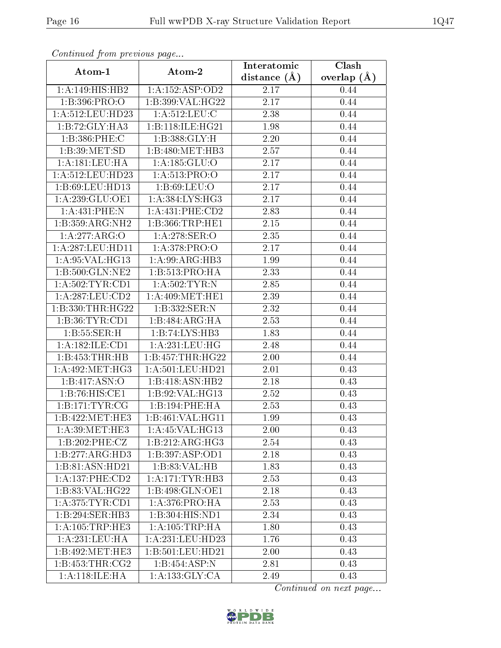| Commuca from previous page                                     |                                    | Interatomic       | Clash           |
|----------------------------------------------------------------|------------------------------------|-------------------|-----------------|
| Atom-1                                                         | Atom-2                             | distance $(A)$    | overlap $(\AA)$ |
| 1: A:149:HIS:HB2                                               | 1:A:152:ASP:OD2                    | 2.17              | 0.44            |
| 1:B:396:PRO:O                                                  | 1:B:399:VAL:HG22                   | 2.17              | 0.44            |
| 1:A:512:LEU:HD23                                               | 1: A:512:LEU:C                     | 2.38              | 0.44            |
| 1:B:72:GLY:HA3                                                 | 1:B:118:ILE:HG21                   | 1.98              | 0.44            |
| 1:B:386:PHE:C                                                  | 1:B:388:GLY:H                      | 2.20              | 0.44            |
| 1:B:39:MET:SD                                                  | 1:B:480:MET:HB3                    | 2.57              | 0.44            |
| 1: A: 181: LEU: HA                                             | 1:A:185:GLU:O                      | 2.17              | 0.44            |
| $1:\overline{A}:\overline{512}:\overline{LEU}:\overline{HD23}$ | 1: A:513: PRO:O                    | 2.17              | 0.44            |
| 1:B:69:LEU:HD13                                                | 1: B:69: LEU:O                     | 2.17              | 0.44            |
| 1:A:239:GLU:OE1                                                | 1: A: 384: LYS: HG3                | 2.17              | 0.44            |
| 1:A:431:PHE:N                                                  | $1: A:431:$ PHE: $CD2$             | 2.83              | 0.44            |
| 1:B:359:ARG:NH2                                                | 1:B:366:TRP:HE1                    | 2.15              | 0.44            |
| 1:A:277:ARG:O                                                  | $1: A:278:\overline{\text{SER}:O}$ | 2.35              | 0.44            |
| 1: A:287:LEU:HD11                                              | 1: A:378: PRO:O                    | 2.17              | 0.44            |
| 1:A:95:VAL:HG13                                                | 1: A:99: ARG:HB3                   | 1.99              | 0.44            |
| 1:B:500:GLN:NE2                                                | 1:B:513:PRO:HA                     | 2.33              | 0.44            |
| 1: A:502:TYR:CD1                                               | 1: A:502:TYR:N                     | 2.85              | 0.44            |
| 1:A:287:LEU:CD2                                                | 1: A:409: MET:HE1                  | 2.39              | 0.44            |
| 1:B:330:THR:HG22                                               | 1:B:332:SER:N                      | 2.32              | 0.44            |
| 1:B:36:TYR:CD1                                                 | 1:B:484:ARG:HA                     | 2.53              | 0.44            |
| 1: B: 55: SER:H                                                | 1:B:74:LYS:HB3                     | 1.83              | 0.44            |
| 1:A:182:ILE:CD1                                                | 1: A:231:LEU:HG                    | 2.48              | 0.44            |
| 1:B:453:THR:HB                                                 | 1:B:457:THR:H <sub>G22</sub>       | 2.00              | 0.44            |
| 1: A:492:MET:HG3                                               | 1: A: 501: LEU: HD21               | 2.01              | 0.43            |
| 1:B:417:ASN:O                                                  | 1:B:418:ASN:HB2                    | 2.18              | 0.43            |
| 1:B:76:HIS:CE1                                                 | 1:B:92:VAL:HG13                    | $\overline{2}.52$ | 0.43            |
| 1:B:171:TYR:CG                                                 | 1:B:194:PHE:HA                     | 2.53              | 0.43            |
| 1:B:422:MET:HE3                                                | 1:B:461:VAL:HG11                   | 1.99              | 0.43            |
| 1: A:39:MET:HE3                                                | 1: A:45: VAL:HG13                  | 2.00              | 0.43            |
| 1:B:202:PHE:CZ                                                 | 1:B:212:ARG:HG3                    | 2.54              | 0.43            |
| 1:B:277:ARG:HD3                                                | 1:B:397:ASP:OD1                    | 2.18              | 0.43            |
| 1:B:81:ASN:HD21                                                | 1:B:83:VAL:HB                      | 1.83              | 0.43            |
| 1: A: 137: PHE: CD2                                            | 1: A:171:TYR:HB3                   | 2.53              | 0.43            |
| 1:B:83:VAL:HG22                                                | 1:B:498:GLN:OE1                    | 2.18              | 0.43            |
| 1: A:375: TYR: CD1                                             | 1: A:376: PRO:HA                   | 2.53              | 0.43            |
| 1:B:294:SER:HB3                                                | 1:B:304:HIS:ND1                    | 2.34              | 0.43            |
| 1: A: 105: TRP: HE3                                            | 1: A:105:TRP:HA                    | 1.80              | 0.43            |
| 1: A: 231: LEU: HA                                             | 1:A:231:LEU:HD23                   | 1.76              | 0.43            |
| 1:B:492:MET:HE3                                                | 1:B:501:LEU:HD21                   | 2.00              | 0.43            |
| 1: B: 453: THR: CG2                                            | 1:B:454:ASP:N                      | 2.81              | 0.43            |
| 1: A:118: ILE: HA                                              | 1:A:133:GLY:CA                     | 2.49              | 0.43            |

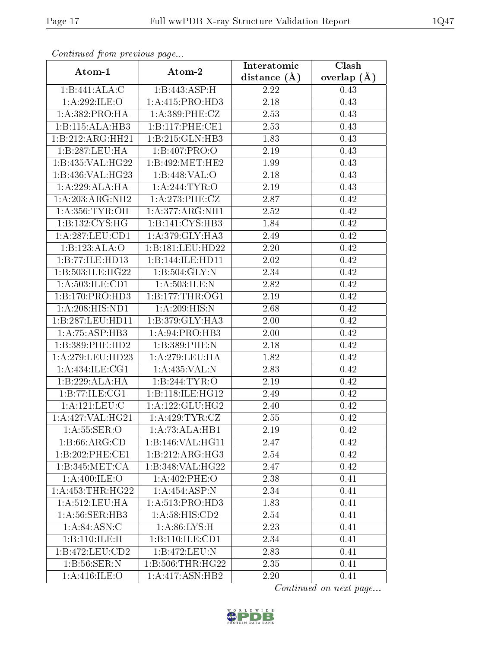| Continued from previous page         |                                        | Interatomic      | Clash         |  |
|--------------------------------------|----------------------------------------|------------------|---------------|--|
| Atom-1                               | Atom-2                                 | distance $(\AA)$ | overlap $(A)$ |  |
| 1:B:441:ALA:C                        | 1:B:443:ASP:H                          | 2.22             | 0.43          |  |
| 1:A:292:ILE:O                        | 1:A:415:PRO:HD3                        | 2.18             | 0.43          |  |
| 1:A:382:PRO:HA                       | 1: A:389: PHE: CZ                      | 2.53             | 0.43          |  |
| 1:B:115:ALA:HB3                      | 1:B:117:PHE:CE1                        | 2.53             | 0.43          |  |
| 1:B:212:ARG:HH21                     | 1:B:215:GLN:HB3                        | 1.83             | 0.43          |  |
| 1:B:287:LEU:HA                       | 1:B:407:PRO:O                          | 2.19             | 0.43          |  |
| 1:B:435:VAL:HG22                     | 1:B:492:MET:HE2                        | 1.99             | 0.43          |  |
| 1:B:436:VAL:HG23                     | 1:B:448:VAL:O                          | 2.18             | 0.43          |  |
| 1: A:229:ALA:HA                      | 1: A:244:TYR:O                         | $2.19\,$         | 0.43          |  |
| 1:A:203:ARG:NH2                      | 1: A:273:PHE:CZ                        | 2.87             | 0.42          |  |
| 1: A:356: TYR:OH                     | 1: A:377: ARG: NH1                     | 2.52             | 0.42          |  |
| 1:B:132:CYS:HG                       | $1:B:141:CYS:\overline{HB3}$           | 1.84             | 0.42          |  |
| 1: A:287:LEU:CD1                     | 1: A:379: GLY:HA3                      | 2.49             | 0.42          |  |
| 1:B:123:ALA:O                        | 1:B:181:LEU:HD22                       | 2.20             | 0.42          |  |
| 1:B:77:ILE:HD13                      | 1:B:144:ILE:HD11                       | 2.02             | 0.42          |  |
| 1:B:503:ILE:HG22                     | 1:B:504:GLY:N                          | 2.34             | 0.42          |  |
| 1: A: 503: ILE: CD1                  | 1: A:503: ILE:N                        | 2.82             | 0.42          |  |
| 1:B:170:PRO:HD3                      | 1: B: 177: THR: OG1                    | 2.19             | 0.42          |  |
| 1:A:208:HIS:ND1                      | 1:A:209:HIS:N                          | 2.68             | 0.42          |  |
| 1:B:287:LEU:HD11                     | 1:B:379:GLY:HA3                        | 2.00             | 0.42          |  |
| 1:A:75:ASP:HB3                       | 1:A:94:PRO:HB3                         | 2.00             | 0.42          |  |
| 1:B:389:PHE:HD2                      | 1:B:389:PHE:N                          | 2.18             | 0.42          |  |
| 1:A:279:LEU:HD23                     | 1:A:279:LEU:HA                         | 1.82             | 0.42          |  |
| 1: A:434: ILE: CG1                   | 1:A:435:VAL:N                          | 2.83             | 0.42          |  |
| 1:B:229:ALA:HA                       | 1:B:244:TYR:O                          | $2.19\,$         | 0.42          |  |
| 1:B:77:ILE:CG1                       | 1:B:118:ILE:HG12                       | 2.49             | 0.42          |  |
| 1: A: 121: LEU: C                    | 1: A: 122: GLU: HG2                    | 2.40             | 0.42          |  |
| 1:A:427:VAL:HG21                     | $1:$ A:429:TYR: $\overline{\text{CZ}}$ | 2.55             | 0.42          |  |
| 1: A:55:SER:O                        | 1:A:73:ALA:HB1                         | 2.19             | 0.42          |  |
| 1:B:66:ARG:CD                        | 1:B:146:VAL:H <sub>G11</sub>           | 2.47             | 0.42          |  |
| 1:B:202:PHE:CE1                      | $1:B:212:AR\overline{G:HG3}$           | 2.54             | 0.42          |  |
| 1:B:345:MET:CA                       | 1:B:348:VAL:HG22                       | 2.47             | 0.42          |  |
| 1: A:400: ILE: O                     | $1: A:402:$ PHE:O                      | 2.38             | 0.41          |  |
| 1:A:453:THR:HG22                     | $1:\overline{A:454:ASP:N}$             | 2.34             | 0.41          |  |
| 1: A:512:LEU:HA                      | 1: A:513: PRO:HD3                      | 1.83             | 0.41          |  |
| $1: A:56: \overline{\text{SER:H}}B3$ | 1: A:58: HIS:CD2                       | 2.54             | 0.41          |  |
| 1: A:84: ASN: C                      | 1: A:86: LYS:H                         | 2.23             | 0.41          |  |
| $1:B:110:\overline{\text{ILE:H}}$    | $1:B:110:\overline{\text{ILE:CD1}}$    | 2.34             | 0.41          |  |
| 1:B:472:LEU:CD2                      | 1:B:472:LEU:N                          | 2.83             | 0.41          |  |
| 1:B:56:SER:N                         | 1: B:506:THR:HG22                      | 2.35             | 0.41          |  |
| 1: A:416: ILE: O                     | 1:A:417:ASN:HB2                        | 2.20             | 0.41          |  |

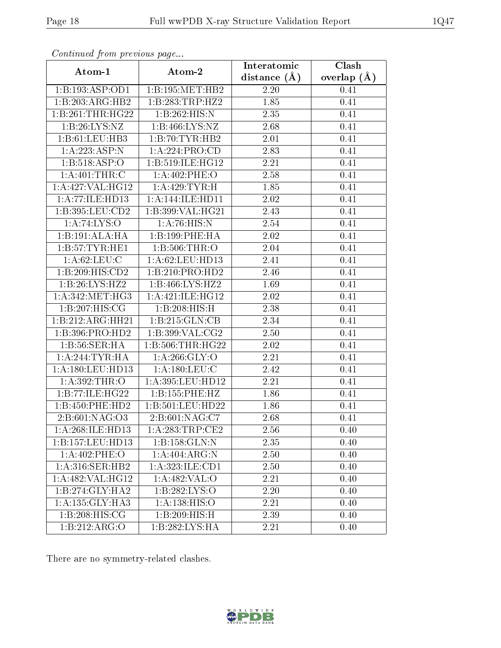| Commaca jibin previous page                    |                                | Interatomic    | Clash         |
|------------------------------------------------|--------------------------------|----------------|---------------|
| Atom-1                                         | Atom-2                         | distance $(A)$ | overlap $(A)$ |
| 1:B:193:ASP:OD1                                | 1:B:195:MET:HB2                | 2.20           | 0.41          |
| 1:B:203:ARG:HB2                                | 1:B:283:TRP:HZ2                | 1.85           | 0.41          |
| 1:B:261:THR:HG22                               | 1:B:262:HIS:N                  | 2.35           | 0.41          |
| 1:B:26:LYS:NZ                                  | 1:B:466:LYS:NZ                 | 2.68           | 0.41          |
| 1:B:61:LEU:HB3                                 | 1:B:70:TYR:HB2                 | $2.01\,$       | 0.41          |
| 1:A:223:ASP:N                                  | 1:A:224:PRO:CD                 | 2.83           | 0.41          |
| 1: B: 518: ASP:O                               | 1:B:519:ILE:HG12               | 2.21           | 0.41          |
| 1:A:401:THR:C                                  | $1: A:402:$ PHE:O              | 2.58           | 0.41          |
| 1:A:427:VAL:HG12                               | 1:A:429:TYR:H                  | 1.85           | 0.41          |
| 1: A:77: ILE: HD13                             | 1: A:144: ILE: HDI1            | 2.02           | 0.41          |
| 1:B:395:LEU:CD2                                | 1:B:399:VAL:HG21               | 2.43           | 0.41          |
| $1: A:74:\overline{LYS:O}$                     | 1: A:76: HIS:N                 | 2.54           | 0.41          |
| 1:B:191:ALA:HA                                 | 1:B:199:PHE:HA                 | 2.02           | 0.41          |
| 1: B: 57: TYR: HE1                             | 1:B:506:THR:O                  | 2.04           | 0.41          |
| 1: A:62:LEU:C                                  | 1:A:62:LEU:HD13                | 2.41           | 0.41          |
| 1:B:209:HIS:CD2                                | 1:B:210:PRO:HD2                | 2.46           | 0.41          |
| 1:B:26:LYS:HZ2                                 | 1:B:466:LYS:HZ2                | 1.69           | 0.41          |
| 1: A:342:MET:HG3                               | 1:A:421:ILE:HG12               | 2.02           | 0.41          |
| 1:B:207:HIS:CG                                 | 1:B:208:HIS:H                  | 2.38           | 0.41          |
| 1:B:212:ARG:HH21                               | 1:B:215:GLN:CB                 | 2.34           | 0.41          |
| 1:B:396:PRO:HD2                                | 1: B:399: VAL: CG2             | 2.50           | 0.41          |
| 1: B:56: SER: HA                               | 1: B:506:THR:HG22              | 2.02           | 0.41          |
| 1: A:244:TYR:HA                                | 1: A:266: GLY:O                | 2.21           | 0.41          |
| 1: A:180: LEU: HD13                            | 1: A: 180: LEU: C              | 2.42           | 0.41          |
| 1:A:392:THR:O                                  | 1:A:395:LEU:HD12               | 2.21           | 0.41          |
| 1:B:77:ILE:HG22                                | 1:B:155:PHE:HZ                 | 1.86           | 0.41          |
| 1:B:450:PHE:HD2                                | 1:B:501:LEU:HD22               | 1.86           | 0.41          |
| 2:B:601:NAG:O3                                 | $2: B:601: NAG: \overline{C7}$ | 2.68           | 0.41          |
| 1:A:268:ILE:HD13                               | 1: A:283:TRP:CE2               | 2.56           | 0.40          |
| 1:B:157:LEU:HD13                               | 1: B: 158: GLN:N               | 2.35           | 0.40          |
| $1:A:402:\overline{PHE:O}$                     | 1:A:404:ARG:N                  | 2.50           | 0.40          |
| 1: A:316: SER: HB2                             | 1:A:323:ILE:CD1                | 2.50           | 0.40          |
| 1: A:482: VAL:HG12                             | 1:A:482:VAL:O                  | 2.21           | 0.40          |
| $1:B:274:\overline{\mathrm{GLY}:\mathrm{HA2}}$ | 1:B:282:LYS:O                  | 2.20           | 0.40          |
| 1: A: 135: GLY: HA3                            | 1: A: 138: HIS: O              | 2.21           | 0.40          |
| 1:B:208:HIS:CG                                 | 1:B:209:HIS:H                  | 2.39           | 0.40          |
| 1:B:212:ARG:O                                  | 1:B:282:LYS:HA                 | 2.21           | 0.40          |

There are no symmetry-related clashes.

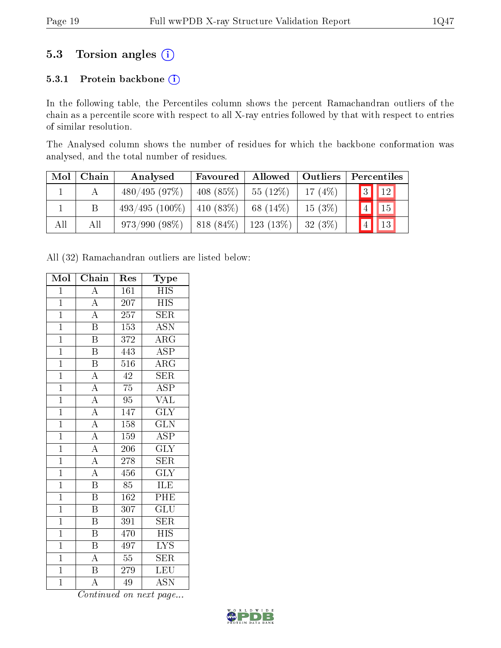## 5.3 Torsion angles (i)

#### 5.3.1 Protein backbone (i)

In the following table, the Percentiles column shows the percent Ramachandran outliers of the chain as a percentile score with respect to all X-ray entries followed by that with respect to entries of similar resolution.

The Analysed column shows the number of residues for which the backbone conformation was analysed, and the total number of residues.

| Mol | Chain | Analysed                       | Favoured         | Allowed               | $\vert$ Outliers | Percentiles     |                          |  |
|-----|-------|--------------------------------|------------------|-----------------------|------------------|-----------------|--------------------------|--|
|     |       | 480/495(97%)                   | $-408(85\%)$     | 55(12%)               | 17 $(4%)$        |                 | $\boxed{3}$ $\boxed{12}$ |  |
|     |       | $493/495 (100\%)$   410 (83\%) |                  | 68 $(14\%)$           | $15(3\%)$        | $\vert 4 \vert$ | $\vert$ 15               |  |
| All | All   | $973/990(98\%)$                | $  818 (84\%)  $ | $\frac{123(13\%)}{ }$ | $-32(3%)$        |                 | $\vert$ 13               |  |

All (32) Ramachandran outliers are listed below:

| Mol            | Chain                    | Res              | $_{\rm Type}$             |
|----------------|--------------------------|------------------|---------------------------|
| $\mathbf{1}$   | $\overline{\rm A}$       | 161              | <b>HIS</b>                |
| $\overline{1}$ | $\overline{A}$           | 207              | <b>HIS</b>                |
| $\overline{1}$ | $\overline{A}$           | $\overline{257}$ | $\overline{\text{SER}}$   |
| $\overline{1}$ | $\overline{\mathrm{B}}$  | 153              | <b>ASN</b>                |
| $\overline{1}$ | $\, {\bf B}$             | 372              | $\rm{ARG}$                |
| $\overline{1}$ | $\overline{\mathrm{B}}$  | 443              | $\overline{\text{ASP}}$   |
| $\overline{1}$ | $\overline{B}$           | 516              | $\rm{ARG}$                |
| $\overline{1}$ | $\overline{A}$           | $\overline{42}$  | $\overline{\text{SER}}$   |
| $\mathbf{1}$   | $\overline{A}$           | 75               | ASP                       |
| $\overline{1}$ | $\overline{A}$           | $\overline{95}$  | <b>VAL</b>                |
| $\overline{1}$ | $\overline{A}$           | 147              | $\overline{\text{GLY}}$   |
| $\overline{1}$ | $\frac{\overline{A}}{A}$ | 158              | $\overline{\text{GLN}}$   |
| $\overline{1}$ |                          | 159              | $\overline{\rm ASP}$      |
| $\overline{1}$ | $\overline{A}$           | 206              | $\overline{\text{GLY}}$   |
| $\overline{1}$ | $\overline{A}$           | $\overline{278}$ | $\overline{\text{SER}}$   |
| $\overline{1}$ | $\overline{A}$           | 456              | $\overline{\text{GLY}}$   |
| $\overline{1}$ | $\overline{\mathrm{B}}$  | 85               | ILE                       |
| $\overline{1}$ | $\overline{\mathrm{B}}$  | 162              | $P\overline{HE}$          |
| $\mathbf{1}$   | $\overline{\mathrm{B}}$  | 307              | $\overline{\text{GLU}}$   |
| $\overline{1}$ | $\boldsymbol{B}$         | 391              | <b>SER</b>                |
| $\mathbf{1}$   | $\overline{\mathrm{B}}$  | 470              | <b>HIS</b>                |
| $\mathbf{1}$   | $\, {\bf B}$             | 497              | $\overline{\text{LYS}}$   |
| $\overline{1}$ | $\overline{A}$           | $55\,$           | $\overline{\text{SER}}$   |
| $\overline{1}$ | $\overline{\mathrm{B}}$  | 279              | LEU                       |
| $\overline{1}$ | $\overline{\rm A}$       | 49               | $\overline{\mathrm{ASN}}$ |

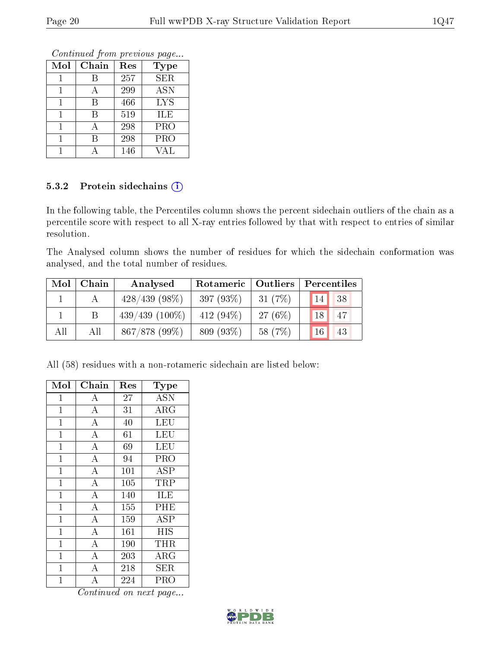Continued from previous page...

| Mol | Chain | Res | <b>Type</b> |
|-----|-------|-----|-------------|
|     |       | 257 | <b>SER</b>  |
|     |       | 299 | <b>ASN</b>  |
|     | В     | 466 | <b>LYS</b>  |
|     | В     | 519 | ILE         |
|     |       | 298 | PRO         |
|     | R     | 298 | <b>PRO</b>  |
|     |       | 146 | <b>VAL</b>  |

#### 5.3.2 Protein sidechains (i)

In the following table, the Percentiles column shows the percent sidechain outliers of the chain as a percentile score with respect to all X-ray entries followed by that with respect to entries of similar resolution.

The Analysed column shows the number of residues for which the sidechain conformation was analysed, and the total number of residues.

| Mol | Chain | Analysed         | Rotameric   Outliers |            | Percentiles |
|-----|-------|------------------|----------------------|------------|-------------|
|     |       | $428/439$ (98\%) | 397(93%)             | 31(7%)     | 38<br> 14   |
|     |       | $439/439(100\%)$ | 412 $(94\%)$         | 27 $(6\%)$ | 47<br>18    |
| All | All   | 867/878 (99%)    | 809 (93%)            | 58 (7\%)   | 43          |

All (58) residues with a non-rotameric sidechain are listed below:

| Mol            | Chain              | Res | Type       |
|----------------|--------------------|-----|------------|
| 1              | А                  | 27  | <b>ASN</b> |
| $\mathbf{1}$   | $\overline{\rm A}$ | 31  | ARG        |
| $\mathbf{1}$   | $\bf{A}$           | 40  | LEU        |
| $\overline{1}$ | $\overline{\rm A}$ | 61  | LEU        |
| $\mathbf{1}$   | $\overline{A}$     | 69  | LEU        |
| $\overline{1}$ | $\overline{A}$     | 94  | <b>PRO</b> |
| $\overline{1}$ | $\overline{\rm A}$ | 101 | <b>ASP</b> |
| $\mathbf 1$    | $\overline{\rm A}$ | 105 | TRP        |
| $\mathbf{1}$   | $\overline{\rm A}$ | 140 | ILE        |
| $\mathbf{1}$   | $\overline{A}$     | 155 | PHE        |
| $\overline{1}$ | $\overline{\rm A}$ | 159 | <b>ASP</b> |
| $\overline{1}$ | $\overline{\rm A}$ | 161 | <b>HIS</b> |
| $\mathbf 1$    | $\overline{A}$     | 190 | THR        |
| $\mathbf{1}$   | $\overline{\rm A}$ | 203 | $\rm{ARG}$ |
| $\mathbf{1}$   | $\overline{A}$     | 218 | <b>SER</b> |
| $\overline{1}$ | A                  | 224 | PRO        |

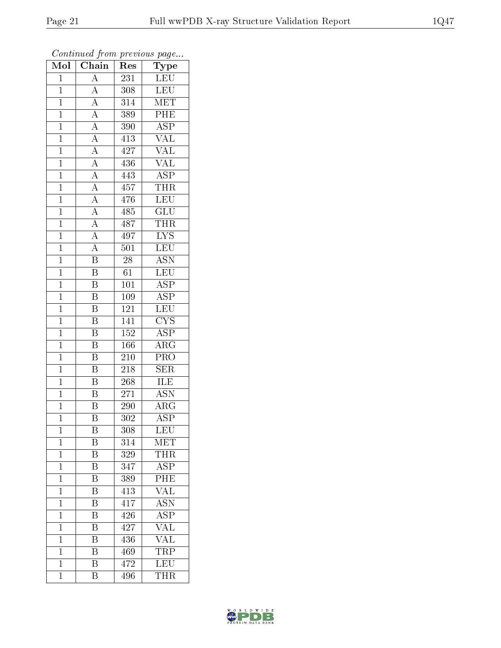| Mol            | $\overline{\text{Chain}}$           | Res              | $r \sim 3$<br>Type      |
|----------------|-------------------------------------|------------------|-------------------------|
| $\mathbf 1$    | $\overline{A}$                      | 231              | LEU                     |
| $\mathbf{1}$   | $\overline{A}$                      | 308              | LEU                     |
| $\overline{1}$ | $\overline{A}$                      | $31\overline{4}$ | $\overline{\text{MET}}$ |
| $\mathbf{1}$   |                                     | 389              | PHE                     |
| $\overline{1}$ | $\frac{\overline{A}}{\overline{A}}$ | 390              | $\overline{\text{ASP}}$ |
| $\mathbf 1$    |                                     | 413              | $\overline{\text{VAL}}$ |
| $\overline{1}$ | $\overline{A}$                      | 427              | $\rm \sqrt{AL}$         |
| $\overline{1}$ | $\overline{A}$                      | 436              | $\overline{\text{VAL}}$ |
| $\mathbf{1}$   | $\frac{\overline{A}}{\overline{A}}$ | 443              | <b>ASP</b>              |
| $\overline{1}$ |                                     | 457              | <b>THR</b>              |
| $\mathbf{1}$   |                                     | 476              | $\overline{\text{LEU}}$ |
| $\overline{1}$ | $\frac{\overline{A}}{A}$            | 485              | $\overline{{\rm GLU}}$  |
| $\overline{1}$ | $\frac{\overline{A}}{\overline{A}}$ | 487              | <b>THR</b>              |
| $\mathbf{1}$   |                                     | 497              | $\overline{\text{LYS}}$ |
| $\overline{1}$ | $\overline{A}$                      | 501              | LEU                     |
| $\mathbf{1}$   | $\overline{\mathrm{B}}$             | 28               | <b>ASN</b>              |
| $\overline{1}$ | $\overline{\mathrm{B}}$             | $\overline{61}$  | <b>LEU</b>              |
| $\mathbf{1}$   | Β                                   | 101              | ASP                     |
| $\mathbf{1}$   | B                                   | 109              | $\overline{\text{ASP}}$ |
| $\mathbf{1}$   | $\overline{\mathrm{B}}$             | 121              | LEU                     |
| $\mathbf{1}$   | $\overline{\mathrm{B}}$             | 141              | $\overline{\text{CYS}}$ |
| $\overline{1}$ | $\overline{\mathrm{B}}$             | 152              | $\overline{\text{ASP}}$ |
| $\mathbf{1}$   | $\overline{\mathrm{B}}$             | 166              | $\rm{ARG}$              |
| $\mathbf{1}$   | $\overline{\mathrm{B}}$             | 210              | $\overline{\text{PRO}}$ |
| $\mathbf{1}$   | $\overline{\mathrm{B}}$             | 218              | <b>SER</b>              |
| $\mathbf 1$    | B                                   | 268              | ILE                     |
| $\mathbf{1}$   | Β                                   | 271              | $\overline{\text{ASN}}$ |
| $\mathbf{1}$   | $\overline{\mathrm{B}}$             | 290              | $\rm{ARG}$              |
| $\overline{1}$ | $\overline{\mathrm{B}}$             | 302              | $\overline{\text{ASP}}$ |
| 1              | Β                                   | 308              | LEU                     |
| $\mathbf 1$    | Β                                   | 314              | MET                     |
| $\mathbf{1}$   | $\overline{\mathbf{B}}$             | 329              | <b>THR</b>              |
| $\mathbf{1}$   | B                                   | 347              | <b>ASP</b>              |
| $\mathbf{1}$   | $\overline{\mathrm{B}}$             | 389              | $\overline{\text{PHE}}$ |
| $\mathbf{1}$   | B                                   | 413              | <b>VAL</b>              |
| $\mathbf 1$    | $\overline{\mathrm{B}}$             | $\sqrt{417}$     | <b>ASN</b>              |
| $\mathbf 1$    | $\overline{\mathrm{B}}$             | 426              | $\overline{\text{ASP}}$ |
| $\mathbf 1$    | $\overline{\mathrm{B}}$             | 427              | $\overline{\text{VAL}}$ |
| $\mathbf 1$    | Β                                   | 436              | <b>VAL</b>              |
| $\mathbf 1$    | $\overline{\mathrm{B}}$             | 469              | TRP                     |
| $\mathbf 1$    | $\overline{\mathrm{B}}$             | 472              | $\overline{\text{LEU}}$ |
| $\mathbf 1$    | $\overline{B}$                      | 496              | <b>THR</b>              |

Continued from previous page...

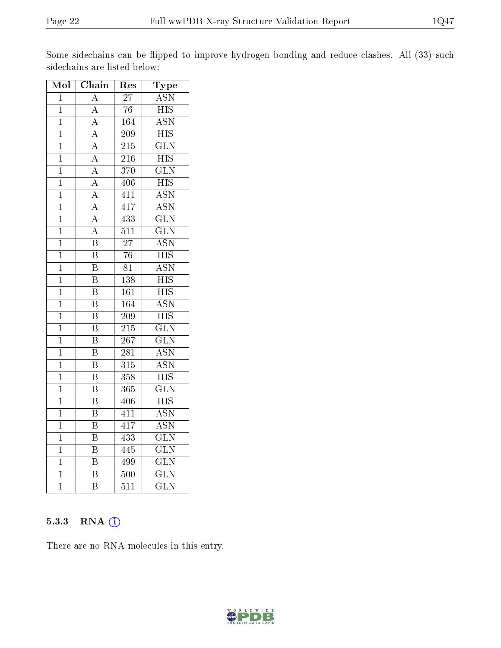Some sidechains can be flipped to improve hydrogen bonding and reduce clashes. All (33) such sidechains are listed below:

| Mol            | Chain                   | Res              | $\mathbf{Type}$           |
|----------------|-------------------------|------------------|---------------------------|
| $\mathbf 1$    | $\mathbf{A}$            | 27               | <b>ASN</b>                |
| $\mathbf 1$    | $\overline{\rm A}$      | $\overline{76}$  | $\overline{\mathrm{HIS}}$ |
| $\overline{1}$ | $\overline{\rm A}$      | 164              | <b>ASN</b>                |
| $\mathbf 1$    | $\overline{\rm A}$      | 209              | $\overline{HIS}$          |
| $\overline{1}$ | $\overline{A}$          | $\overline{215}$ | $\overline{\text{GLN}}$   |
| $\mathbf 1$    | $\overline{\rm A}$      | 216              | $\overline{HIS}$          |
| $\mathbf{1}$   | $\overline{\rm A}$      | 370              | $\overline{\text{GLN}}$   |
| $\mathbf{1}$   | $\overline{\rm A}$      | 406              | $\overline{HIS}$          |
| $\mathbf 1$    | $\overline{A}$          | 411              | $\overline{\text{ASN}}$   |
| $\overline{1}$ | $\overline{A}$          | 417              | $\overline{\text{ASN}}$   |
| $\mathbf 1$    | $\overline{\rm A}$      | 433              | $\overline{\text{GLN}}$   |
| $\overline{1}$ | $\overline{\rm A}$      | $\overline{511}$ | $\overline{\text{GLN}}$   |
| $\mathbf{1}$   | $\overline{\mathrm{B}}$ | $\overline{27}$  | $\overline{\text{ASN}}$   |
| $\overline{1}$ | $\overline{\mathrm{B}}$ | $\overline{76}$  | $\overline{\mathrm{HIS}}$ |
| $\mathbf{1}$   | $\overline{\mathrm{B}}$ | 81               | $\overline{\text{ASN}}$   |
| $\mathbf{1}$   | $\overline{\mathrm{B}}$ | 138              | $\overline{\mathrm{HIS}}$ |
| $\mathbf 1$    | $\overline{\mathrm{B}}$ | 161              | $\overline{HIS}$          |
| $\mathbf 1$    | $\overline{\mathrm{B}}$ | $\overline{164}$ | <b>ASN</b>                |
| $\overline{1}$ | $\overline{\mathrm{B}}$ | $\overline{209}$ | $\overline{\mathrm{HIS}}$ |
| $\mathbf 1$    | $\overline{\mathrm{B}}$ | 215              | $\overline{\text{GLN}}$   |
| $\mathbf 1$    | $\overline{\mathrm{B}}$ | $\overline{267}$ | $\overline{\text{GLN}}$   |
| $\mathbf 1$    | $\overline{\mathrm{B}}$ | 281              | $\overline{\text{ASN}}$   |
| $\overline{1}$ | $\overline{\mathrm{B}}$ | $\overline{315}$ | $\overline{\text{ASN}}$   |
| $\overline{1}$ | $\overline{\mathrm{B}}$ | 358              | $\overline{\mathrm{HIS}}$ |
| $\mathbf{1}$   | $\overline{\mathrm{B}}$ | 365              | $\overline{\text{GLN}}$   |
| $\overline{1}$ | $\overline{\mathrm{B}}$ | $\overline{406}$ | $\overline{\mathrm{HIS}}$ |
| $\mathbf 1$    | $\overline{\mathrm{B}}$ | 411              | $\overline{ASN}$          |
| $\overline{1}$ | $\overline{\mathrm{B}}$ | 417              | $\overline{\text{ASN}}$   |
| $\mathbf{1}$   | $\overline{\mathrm{B}}$ | 433              | $\overline{\text{GLN}}$   |
| $\mathbf 1$    | $\overline{\mathrm{B}}$ | $44\overline{5}$ | $\overline{\text{GLN}}$   |
| $\overline{1}$ | $\overline{\mathrm{B}}$ | 499              | $\overline{\text{GLN}}$   |
| $\mathbf 1$    | $\overline{\mathrm{B}}$ | $\overline{500}$ | $\overline{\text{GLN}}$   |
| $\overline{1}$ | $\overline{\mathrm{B}}$ | $\overline{511}$ | $\overline{\text{GLN}}$   |

#### 5.3.3 RNA (1)

There are no RNA molecules in this entry.

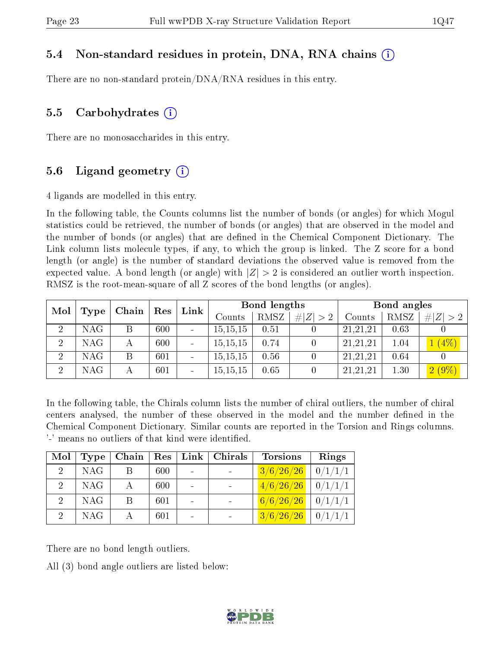#### 5.4 Non-standard residues in protein, DNA, RNA chains (i)

There are no non-standard protein/DNA/RNA residues in this entry.

#### 5.5 Carbohydrates (i)

There are no monosaccharides in this entry.

#### 5.6 Ligand geometry  $(i)$

4 ligands are modelled in this entry.

In the following table, the Counts columns list the number of bonds (or angles) for which Mogul statistics could be retrieved, the number of bonds (or angles) that are observed in the model and the number of bonds (or angles) that are dened in the Chemical Component Dictionary. The Link column lists molecule types, if any, to which the group is linked. The Z score for a bond length (or angle) is the number of standard deviations the observed value is removed from the expected value. A bond length (or angle) with  $|Z| > 2$  is considered an outlier worth inspection. RMSZ is the root-mean-square of all Z scores of the bond lengths (or angles).

| Mol            |      | Chain | $\operatorname{Res}$ | Link                     |            | Bond lengths |             |          | Bond angles |            |
|----------------|------|-------|----------------------|--------------------------|------------|--------------|-------------|----------|-------------|------------|
|                | Type |       |                      |                          | Counts     | RMSZ         | # $ Z  > 2$ | Counts   | RMSZ        | Z >2<br>#! |
| $\overline{2}$ | NAG  |       | 600                  | $\overline{\phantom{a}}$ | 15, 15, 15 | 0.51         |             | 21,21,21 | 0.63        |            |
| 2              | NAG. |       | 600                  | $\blacksquare$           | 15, 15, 15 | 0.74         |             | 21,21,21 | $1.04\,$    | $(4\%)$    |
| $\overline{2}$ | NAG  | B     | 601                  |                          | 15, 15, 15 | 0.56         |             | 21,21,21 | 0.64        |            |
| $\overline{2}$ | NAG. |       | 601                  | $\blacksquare$           | 15, 15, 15 | 0.65         |             | 21,21,21 | 1.30        | $2(9\%)$   |

In the following table, the Chirals column lists the number of chiral outliers, the number of chiral centers analysed, the number of these observed in the model and the number defined in the Chemical Component Dictionary. Similar counts are reported in the Torsion and Rings columns. '-' means no outliers of that kind were identified.

| Mol           | <b>Type</b> | Chain | Res | Link | Chirals | <b>Torsions</b> | Rings   |
|---------------|-------------|-------|-----|------|---------|-----------------|---------|
| $2^{\circ}$   | <b>NAG</b>  |       | 600 |      |         | 3/6/26/26       | 0/1/1/1 |
| 2             | <b>NAG</b>  |       | 600 |      |         | 4/6/26/26       | 0/1/1/1 |
| $\mathcal{D}$ | <b>NAG</b>  | B     | 601 |      |         | 6/6/26/26       | 0/1/1/1 |
| 9             | <b>NAG</b>  |       | 601 |      |         | 3/6/26/26       |         |

There are no bond length outliers.

All (3) bond angle outliers are listed below:

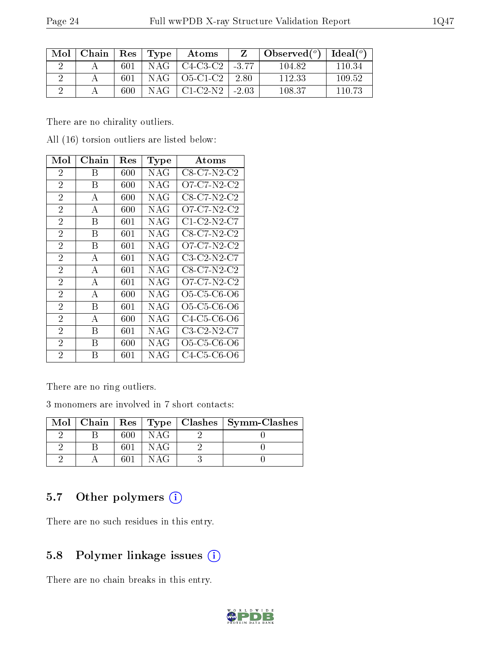|--|

| Mol | Chain   Res   Type |     |     | $\boldsymbol{\mathrm{Atoms}}$ |       | $\mid$ Observed $({}^o) \mid$ | Ideal (°) |
|-----|--------------------|-----|-----|-------------------------------|-------|-------------------------------|-----------|
|     |                    | 601 |     | $NAG$   C4-C3-C2   -3.77      |       | 104.82                        | 110.34    |
|     |                    | 601 |     | $NAG$   O5-C1-C2   2.80       |       | 112.33                        | 109.52    |
|     |                    | 600 | NAG | - C1-C2-N2-1                  | -2.03 | 108.37                        | -110-73   |

There are no chirality outliers.

All (16) torsion outliers are listed below:

| Mol            | ${\rm Chain}$  | Res     | Type | Atoms                                                          |
|----------------|----------------|---------|------|----------------------------------------------------------------|
| $\overline{2}$ | Β              | 600     | NAG  | C8-C7-N2-C2                                                    |
| $\overline{2}$ | В              | 600     | NAG  | O7-C7-N2-C2                                                    |
| $\overline{2}$ | А              | 600     | NAG  | $C8-C7-N2-C2$                                                  |
| $\overline{2}$ | А              | 600     | NAG  | O7-C7-N2-C2                                                    |
| $\overline{2}$ | В              | 601     | NAG  | C1-C2-N2-C7                                                    |
| $\overline{2}$ | В              | 601     | NAG  | C8-C7-N2-C2                                                    |
| $\overline{2}$ | В              | 601     | NAG  | O7-C7-N2-C2                                                    |
| $\overline{2}$ | A              | 601     | NAG  | $C3-C2-N2-C7$                                                  |
| $\overline{2}$ | А              | 601     | NAG  | C8-C7-N2-C2                                                    |
| $\overline{2}$ | $\overline{A}$ | 601     | NAG  | O7-C7-N2-C2                                                    |
| $\overline{2}$ | A              | 600     | NAG  | O <sub>5</sub> -C <sub>5</sub> -C <sub>6</sub> -O <sub>6</sub> |
| $\overline{2}$ | В              | 601     | NAG  | O <sub>5</sub> -C <sub>5</sub> -C <sub>6</sub> -O <sub>6</sub> |
| $\overline{2}$ | A              | 600     | NAG  | C4-C5-C6-O6                                                    |
| $\overline{2}$ | B              | 601     | NAG  | $C3-C2-N2-C7$                                                  |
| $\overline{2}$ | В              | 600     | NAG  | O5-C5-C6-O6                                                    |
| $\overline{2}$ | В              | $601\,$ | NAG  | C4-C5-C6-O6                                                    |

There are no ring outliers.

3 monomers are involved in 7 short contacts:

|  |     |     | Mol   Chain   Res   Type   Clashes   Symm-Clashes |
|--|-----|-----|---------------------------------------------------|
|  | 600 | NAG |                                                   |
|  | 601 | NAG |                                                   |
|  | 601 | NAG |                                                   |

## 5.7 [O](https://www.wwpdb.org/validation/2017/XrayValidationReportHelp#nonstandard_residues_and_ligands)ther polymers (i)

There are no such residues in this entry.

## 5.8 Polymer linkage issues (i)

There are no chain breaks in this entry.